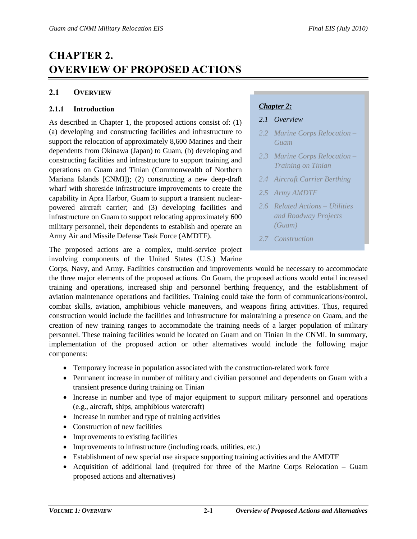# **CHAPTER 2. OVERVIEW OF PROPOSED ACTIONS**

## **2.1 OVERVIEW**

## **2.1.1 Introduction**

As described in Chapter 1, the proposed actions consist of: (1) (a) developing and constructing facilities and infrastructure to support the relocation of approximately 8,600 Marines and their dependents from Okinawa (Japan) to Guam, (b) developing and constructing facilities and infrastructure to support training and operations on Guam and Tinian (Commonwealth of Northern Mariana Islands [CNMI]); (2) constructing a new deep-draft wharf with shoreside infrastructure improvements to create the capability in Apra Harbor, Guam to support a transient nuclearpowered aircraft carrier; and (3) developing facilities and infrastructure on Guam to support relocating approximately 600 military personnel, their dependents to establish and operate an Army Air and Missile Defense Task Force (AMDTF).

The proposed actions are a complex, multi-service project involving components of the United States (U.S.) Marine

# *Chapter 2:*

- *2.1 Overview*
- *2.2 Marine Corps Relocation Guam*
- *2.3 Marine Corps Relocation Training on Tinian*
- *2.4 Aircraft Carrier Berthing*
- *2.5 Army AMDTF*
- *2.6 Related Actions Utilities and Roadway Projects (Guam)*
- *2.7 Construction*

Corps, Navy, and Army. Facilities construction and improvements would be necessary to accommodate the three major elements of the proposed actions. On Guam, the proposed actions would entail increased training and operations, increased ship and personnel berthing frequency, and the establishment of aviation maintenance operations and facilities. Training could take the form of communications/control, combat skills, aviation, amphibious vehicle maneuvers, and weapons firing activities. Thus, required construction would include the facilities and infrastructure for maintaining a presence on Guam, and the creation of new training ranges to accommodate the training needs of a larger population of military personnel. These training facilities would be located on Guam and on Tinian in the CNMI. In summary, implementation of the proposed action or other alternatives would include the following major components:

- Temporary increase in population associated with the construction-related work force
- Permanent increase in number of military and civilian personnel and dependents on Guam with a transient presence during training on Tinian
- Increase in number and type of major equipment to support military personnel and operations (e.g., aircraft, ships, amphibious watercraft)
- Increase in number and type of training activities
- Construction of new facilities
- Improvements to existing facilities
- Improvements to infrastructure (including roads, utilities, etc.)
- Establishment of new special use airspace supporting training activities and the AMDTF
- Acquisition of additional land (required for three of the Marine Corps Relocation Guam proposed actions and alternatives)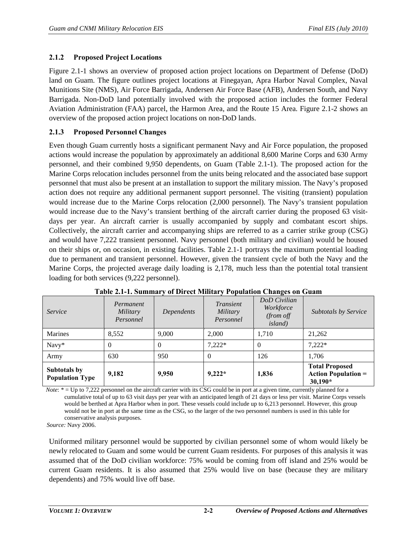## **2.1.2 Proposed Project Locations**

Figure 2.1-1 shows an overview of proposed action project locations on Department of Defense (DoD) land on Guam. The figure outlines project locations at Finegayan, Apra Harbor Naval Complex, Naval Munitions Site (NMS), Air Force Barrigada, Andersen Air Force Base (AFB), Andersen South, and Navy Barrigada. Non-DoD land potentially involved with the proposed action includes the former Federal Aviation Administration (FAA) parcel, the Harmon Area, and the Route 15 Area. Figure 2.1-2 shows an overview of the proposed action project locations on non-DoD lands.

## **2.1.3 Proposed Personnel Changes**

Even though Guam currently hosts a significant permanent Navy and Air Force population, the proposed actions would increase the population by approximately an additional 8,600 Marine Corps and 630 Army personnel, and their combined 9,950 dependents, on Guam (Table 2.1-1). The proposed action for the Marine Corps relocation includes personnel from the units being relocated and the associated base support personnel that must also be present at an installation to support the military mission. The Navy's proposed action does not require any additional permanent support personnel. The visiting (transient) population would increase due to the Marine Corps relocation (2,000 personnel). The Navy's transient population would increase due to the Navy's transient berthing of the aircraft carrier during the proposed 63 visitdays per year. An aircraft carrier is usually accompanied by supply and combatant escort ships. Collectively, the aircraft carrier and accompanying ships are referred to as a carrier strike group (CSG) and would have 7,222 transient personnel. Navy personnel (both military and civilian) would be housed on their ships or, on occasion, in existing facilities. Table 2.1-1 portrays the maximum potential loading due to permanent and transient personnel. However, given the transient cycle of both the Navy and the Marine Corps, the projected average daily loading is 2,178, much less than the potential total transient loading for both services (9,222 personnel).

| Service                                | Permanent<br><b>Military</b><br>Personnel | Dependents | Transient<br>Military<br>Personnel | DoD Civilian<br>Workforce<br>(from off<br><i>island</i> ) | <b>Subtotals by Service</b>                                      |
|----------------------------------------|-------------------------------------------|------------|------------------------------------|-----------------------------------------------------------|------------------------------------------------------------------|
| <b>Marines</b>                         | 8,552                                     | 9,000      | 2,000                              | 1.710                                                     | 21,262                                                           |
| Navy*                                  | $\Omega$                                  | $\Omega$   | $7,222*$                           | $\Omega$                                                  | $7.222*$                                                         |
| Army                                   | 630                                       | 950        | $\theta$                           | 126                                                       | 1.706                                                            |
| Subtotals by<br><b>Population Type</b> | 9,182                                     | 9,950      | $9,222*$                           | 1,836                                                     | <b>Total Proposed</b><br><b>Action Population =</b><br>$30,190*$ |

| Table 2.1-1. Summary of Direct Military Population Changes on Guam |  |  |  |
|--------------------------------------------------------------------|--|--|--|
|                                                                    |  |  |  |

*Note*: \* = Up to 7,222 personnel on the aircraft carrier with its CSG could be in port at a given time, currently planned for a cumulative total of up to 63 visit days per year with an anticipated length of 21 days or less per visit. Marine Corps vessels would be berthed at Apra Harbor when in port. These vessels could include up to 6,213 personnel. However, this group would not be in port at the same time as the CSG, so the larger of the two personnel numbers is used in this table for conservative analysis purposes.

*Source:* Navy 2006.

Uniformed military personnel would be supported by civilian personnel some of whom would likely be newly relocated to Guam and some would be current Guam residents. For purposes of this analysis it was assumed that of the DoD civilian workforce: 75% would be coming from off island and 25% would be current Guam residents. It is also assumed that 25% would live on base (because they are military dependents) and 75% would live off base.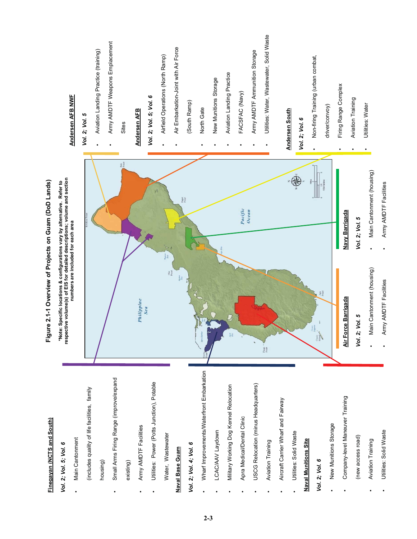| Finegayan (NCTS and South)                   | Figure 2.1-1 Overview of Projects on Guam (DoD Lands)                                                                                                 |                           |                                           |
|----------------------------------------------|-------------------------------------------------------------------------------------------------------------------------------------------------------|---------------------------|-------------------------------------------|
| Vol. 2; Vol. 5; Vol. 6                       | respective volume(s) of EIS for detailed descriptions; volume and section<br>*Note: Specific locations & configurations vary by alternative. Refer to |                           |                                           |
| Main Cantonment                              | numbers are included for each area                                                                                                                    |                           | Andersen AFB NWF                          |
| (includes quality of life facilities, family |                                                                                                                                                       |                           | Vol. 2; Vol. 5                            |
| housing)                                     |                                                                                                                                                       |                           | Aviation Landing Practice (training)      |
| Small Arms Firing Range (improve/expand      |                                                                                                                                                       |                           | Army AMDTF Weapons Emplacement            |
| existing)                                    |                                                                                                                                                       | Pati<br>Point             | Sites                                     |
| Army AMDTF Facilities                        | Philippine<br>Sea                                                                                                                                     |                           | <b>Andersen AFB</b>                       |
| Utilities: Power (Potts Junction), Potable   |                                                                                                                                                       | $\frac{1}{2}$             | Vol. 2; Vol. 5; Vol. 6                    |
| Water, Wastewater                            | Oka                                                                                                                                                   | Tainor                    | Airfield Operations (North Ramp)          |
| Naval Base Guam                              |                                                                                                                                                       | Pagat<br>Pount            | Air Embarkation-Joint with Air Force      |
| Vol. 2; Vol. 4; Vol. 6                       |                                                                                                                                                       |                           | (South Ramp)                              |
| Wharf Improvements/Waterfront Embarkation    |                                                                                                                                                       |                           | North Gate                                |
| LCAC/AAV Laydown                             |                                                                                                                                                       |                           | New Munitions Storage                     |
| Military Working Dog Kennel Relocation       |                                                                                                                                                       |                           | Aviation Landing Practice                 |
| Apra Medical/Dental Clinic                   |                                                                                                                                                       | Pacific<br>Ocean          | FACSFAC (Navy)                            |
| USCG Relocation (minus Headquarters)         |                                                                                                                                                       |                           | Army AMDTF Ammunition Storage             |
| Aviation Training                            | Facpa<br>Point                                                                                                                                        |                           | Utilities: Water, Wastewater, Solid Waste |
| Aircraft Carrier Wharf and Fairway           |                                                                                                                                                       |                           |                                           |
| Utilities: Solid Waste                       |                                                                                                                                                       |                           | <b>Andersen South</b>                     |
| <b>Naval Munitions Site</b>                  |                                                                                                                                                       |                           | Vol. 2; Vol. 6                            |
| Vol. 2; Vol. 6                               | Aga<br>Point<br>Cocos<br>Island                                                                                                                       |                           | Non-firing Training (urban combat,        |
| New Munitions Storage                        |                                                                                                                                                       |                           | driver/convoy)                            |
| Company-level Maneuver Training              | Air Force Barrigada                                                                                                                                   | Navy Barrigada            | Firing Range Complex                      |
| (new access road)                            | Vol. 2; Vol. 5                                                                                                                                        | Vol. 2; Vol. 5            | Aviation Training                         |
| <b>Aviation Training</b>                     | Main Cantonment (housing)                                                                                                                             | Main Cantonment (housing) | Utilities: Water                          |
| Utilities: Solid Waste                       | Army AMDTF Facilities                                                                                                                                 | Army AMDTF Facilities     |                                           |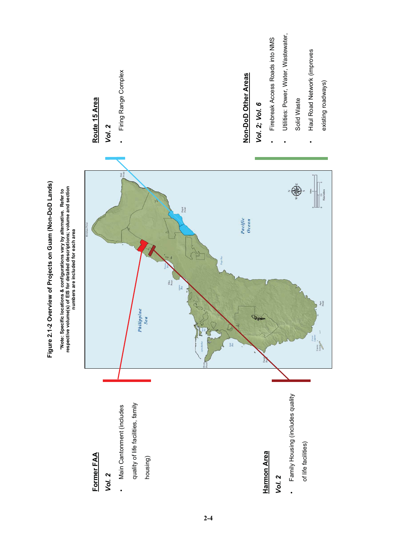

**2-4**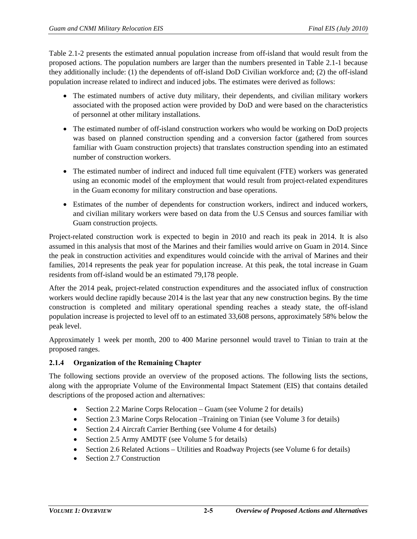Table 2.1-2 presents the estimated annual population increase from off-island that would result from the proposed actions. The population numbers are larger than the numbers presented in Table 2.1-1 because they additionally include: (1) the dependents of off-island DoD Civilian workforce and; (2) the off-island population increase related to indirect and induced jobs. The estimates were derived as follows:

- The estimated numbers of active duty military, their dependents, and civilian military workers associated with the proposed action were provided by DoD and were based on the characteristics of personnel at other military installations.
- The estimated number of off-island construction workers who would be working on DoD projects was based on planned construction spending and a conversion factor (gathered from sources familiar with Guam construction projects) that translates construction spending into an estimated number of construction workers.
- The estimated number of indirect and induced full time equivalent (FTE) workers was generated using an economic model of the employment that would result from project-related expenditures in the Guam economy for military construction and base operations.
- Estimates of the number of dependents for construction workers, indirect and induced workers, and civilian military workers were based on data from the U.S Census and sources familiar with Guam construction projects.

Project-related construction work is expected to begin in 2010 and reach its peak in 2014. It is also assumed in this analysis that most of the Marines and their families would arrive on Guam in 2014. Since the peak in construction activities and expenditures would coincide with the arrival of Marines and their families, 2014 represents the peak year for population increase. At this peak, the total increase in Guam residents from off-island would be an estimated 79,178 people.

After the 2014 peak, project-related construction expenditures and the associated influx of construction workers would decline rapidly because 2014 is the last year that any new construction begins. By the time construction is completed and military operational spending reaches a steady state, the off-island population increase is projected to level off to an estimated 33,608 persons, approximately 58% below the peak level.

Approximately 1 week per month, 200 to 400 Marine personnel would travel to Tinian to train at the proposed ranges.

# **2.1.4 Organization of the Remaining Chapter**

The following sections provide an overview of the proposed actions. The following lists the sections, along with the appropriate Volume of the Environmental Impact Statement (EIS) that contains detailed descriptions of the proposed action and alternatives:

- Section 2.2 Marine Corps Relocation Guam (see Volume 2 for details)
- Section 2.3 Marine Corps Relocation Training on Tinian (see Volume 3 for details)
- Section 2.4 Aircraft Carrier Berthing (see Volume 4 for details)
- Section 2.5 Army AMDTF (see Volume 5 for details)
- Section 2.6 Related Actions Utilities and Roadway Projects (see Volume 6 for details)
- Section 2.7 Construction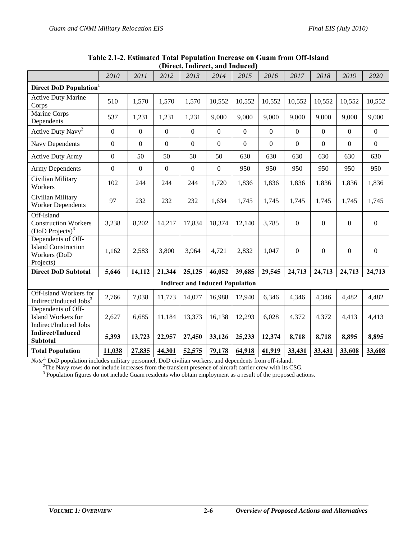|                                                                                 | 2010             | 2011             | 2012             | 2013                                   | 2014           | 2015             | 2016             | 2017             | 2018             | 2019             | 2020             |
|---------------------------------------------------------------------------------|------------------|------------------|------------------|----------------------------------------|----------------|------------------|------------------|------------------|------------------|------------------|------------------|
| Direct DoD Population <sup>1</sup>                                              |                  |                  |                  |                                        |                |                  |                  |                  |                  |                  |                  |
| <b>Active Duty Marine</b><br>Corps                                              | 510              | 1,570            | 1,570            | 1,570                                  | 10,552         | 10,552           | 10,552           | 10,552           | 10,552           | 10,552           | 10,552           |
| Marine Corps<br>Dependents                                                      | 537              | 1,231            | 1,231            | 1,231                                  | 9,000          | 9,000            | 9,000            | 9,000            | 9,000            | 9,000            | 9,000            |
| Active Duty Navy <sup>2</sup>                                                   | $\boldsymbol{0}$ | $\boldsymbol{0}$ | $\mathbf{0}$     | $\boldsymbol{0}$                       | $\mathbf{0}$   | $\boldsymbol{0}$ | $\boldsymbol{0}$ | $\boldsymbol{0}$ | $\overline{0}$   | $\mathbf{0}$     | $\boldsymbol{0}$ |
| <b>Navy Dependents</b>                                                          | $\boldsymbol{0}$ | $\boldsymbol{0}$ | $\boldsymbol{0}$ | $\boldsymbol{0}$                       | $\mathbf{0}$   | $\overline{0}$   | $\mathbf{0}$     | $\boldsymbol{0}$ | $\overline{0}$   | $\boldsymbol{0}$ | $\overline{0}$   |
| <b>Active Duty Army</b>                                                         | $\mathbf{0}$     | 50               | 50               | 50                                     | 50             | 630              | 630              | 630              | 630              | 630              | 630              |
| <b>Army Dependents</b>                                                          | $\mathbf{0}$     | $\mathbf{0}$     | $\overline{0}$   | $\boldsymbol{0}$                       | $\overline{0}$ | 950              | 950              | 950              | 950              | 950              | 950              |
| Civilian Military<br>Workers                                                    | 102              | 244              | 244              | 244                                    | 1,720          | 1,836            | 1,836            | 1,836            | 1,836            | 1,836            | 1,836            |
| Civilian Military<br><b>Worker Dependents</b>                                   | 97               | 232              | 232              | 232                                    | 1,634          | 1,745            | 1,745            | 1,745            | 1,745            | 1,745            | 1,745            |
| Off-Island<br><b>Construction Workers</b><br>(DoD Projects) <sup>3</sup>        | 3,238            | 8,202            | 14,217           | 17,834                                 | 18,374         | 12,140           | 3,785            | $\mathbf{0}$     | $\boldsymbol{0}$ | $\boldsymbol{0}$ | $\mathbf{0}$     |
| Dependents of Off-<br><b>Island Construction</b><br>Workers (DoD<br>Projects)   | 1,162            | 2,583            | 3,800            | 3,964                                  | 4,721          | 2,832            | 1,047            | $\mathbf{0}$     | $\boldsymbol{0}$ | $\boldsymbol{0}$ | $\mathbf{0}$     |
| <b>Direct DoD Subtotal</b>                                                      | 5,646            | 14,112           | 21,344           | 25,125                                 | 46,052         | 39,685           | 29,545           | 24,713           | 24,713           | 24,713           | 24,713           |
|                                                                                 |                  |                  |                  | <b>Indirect and Induced Population</b> |                |                  |                  |                  |                  |                  |                  |
| Off-Island Workers for<br>Indirect/Induced Jobs <sup>3</sup>                    | 2,766            | 7,038            | 11,773           | 14,077                                 | 16,988         | 12,940           | 6,346            | 4,346            | 4,346            | 4,482            | 4,482            |
| Dependents of Off-<br><b>Island Workers for</b><br><b>Indirect/Induced Jobs</b> | 2,627            | 6,685            | 11,184           | 13,373                                 | 16,138         | 12,293           | 6,028            | 4,372            | 4,372            | 4,413            | 4,413            |
| <b>Indirect/Induced</b><br><b>Subtotal</b>                                      | 5,393            | 13,723           | 22,957           | 27,450                                 | 33,126         | 25,233           | 12,374           | 8,718            | 8,718            | 8,895            | 8,895            |
| <b>Total Population</b>                                                         | 11,038           | 27,835           | 44,301           | 52,575                                 | 79,178         | 64,918           | 41,919           | 33,431           | 33,431           | 33,608           | 33,608           |

#### **Table 2.1-2. Estimated Total Population Increase on Guam from Off-Island (Direct, Indirect, and Induced)**

*Note*<sup>:1</sup> DoD population includes military personnel, DoD civilian workers, and dependents from off-island. <sup>2</sup>The Navy rows do not include increases from the transient presence of aircraft carrier crew with its CSG.

<sup>3</sup> Population figures do not include Guam residents who obtain employment as a result of the proposed actions.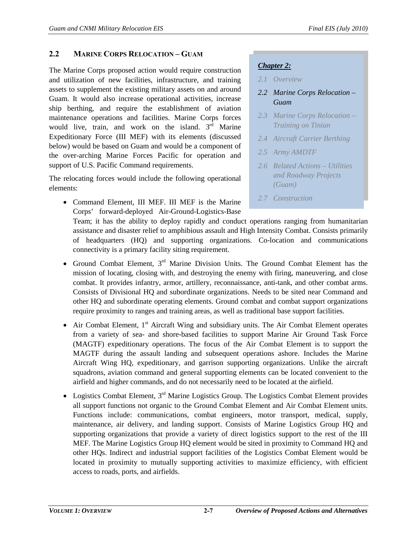# <span id="page-6-0"></span>**2.2 MARINE CORPS RELOCATION – GUAM**

The Marine Corps proposed action would require construction and utilization of new facilities, infrastructure, and training assets to supplement the existing military assets on and around Guam. It would also increase operational activities, increase ship berthing, and require the establishment of aviation maintenance operations and facilities. Marine Corps forces would live, train, and work on the island.  $3<sup>rd</sup>$  Marine Expeditionary Force (III MEF) with its elements (discussed below) would be based on Guam and would be a component of the over-arching Marine Forces Pacific for operation and support of U.S. Pacific Command requirements.

The relocating forces would include the following operational elements:

• Command Element, III MEF. III MEF is the Marine Corps' forward-deployed Air-Ground-Logistics-Base

# *Chapter 2:*

- *2.1 Overview*
- *2.2 Marine Corps Relocation Guam*
- *2.3 Marine Corps Relocation Training on Tinian*
- *2.4 Aircraft Carrier Berthing*
- *2.5 Army AMDTF*
- *2.6 Related Actions Utilities and Roadway Projects (Guam)*
- *2.7 Construction*

Team; it has the ability to deploy rapidly and conduct operations ranging from humanitarian assistance and disaster relief to amphibious assault and High Intensity Combat. Consists primarily of headquarters (HQ) and supporting organizations. Co-location and communications connectivity is a primary facility siting requirement.

- Ground Combat Element, 3<sup>rd</sup> Marine Division Units. The Ground Combat Element has the mission of locating, closing with, and destroying the enemy with firing, maneuvering, and close combat. It provides infantry, armor, artillery, reconnaissance, anti-tank, and other combat arms. Consists of Divisional HQ and subordinate organizations. Needs to be sited near Command and other HQ and subordinate operating elements. Ground combat and combat support organizations require proximity to ranges and training areas, as well as traditional base support facilities.
- Air Combat Element,  $1<sup>st</sup>$  Aircraft Wing and subsidiary units. The Air Combat Element operates from a variety of sea- and shore-based facilities to support Marine Air Ground Task Force (MAGTF) expeditionary operations. The focus of the Air Combat Element is to support the MAGTF during the assault landing and subsequent operations ashore. Includes the Marine Aircraft Wing HQ, expeditionary, and garrison supporting organizations. Unlike the aircraft squadrons, aviation command and general supporting elements can be located convenient to the airfield and higher commands, and do not necessarily need to be located at the airfield.
- Logistics Combat Element,  $3<sup>rd</sup>$  Marine Logistics Group. The Logistics Combat Element provides all support functions not organic to the Ground Combat Element and Air Combat Element units. Functions include: communications, combat engineers, motor transport, medical, supply, maintenance, air delivery, and landing support. Consists of Marine Logistics Group HQ and supporting organizations that provide a variety of direct logistics support to the rest of the III MEF. The Marine Logistics Group HQ element would be sited in proximity to Command HQ and other HQs. Indirect and industrial support facilities of the Logistics Combat Element would be located in proximity to mutually supporting activities to maximize efficiency, with efficient access to roads, ports, and airfields.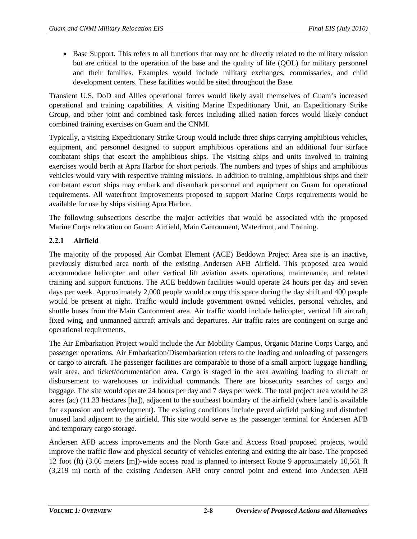• Base Support. This refers to all functions that may not be directly related to the military mission but are critical to the operation of the base and the quality of life (QOL) for military personnel and their families. Examples would include military exchanges, commissaries, and child development centers. These facilities would be sited throughout the Base.

Transient U.S. DoD and Allies operational forces would likely avail themselves of Guam's increased operational and training capabilities. A visiting Marine Expeditionary Unit, an Expeditionary Strike Group, and other joint and combined task forces including allied nation forces would likely conduct combined training exercises on Guam and the CNMI.

Typically, a visiting Expeditionary Strike Group would include three ships carrying amphibious vehicles, equipment, and personnel designed to support amphibious operations and an additional four surface combatant ships that escort the amphibious ships. The visiting ships and units involved in training exercises would berth at Apra Harbor for short periods. The numbers and types of ships and amphibious vehicles would vary with respective training missions. In addition to training, amphibious ships and their combatant escort ships may embark and disembark personnel and equipment on Guam for operational requirements. All waterfront improvements proposed to support Marine Corps requirements would be available for use by ships visiting Apra Harbor.

The following subsections describe the major activities that would be associated with the proposed Marine Corps relocation on Guam: Airfield, Main Cantonment, Waterfront, and Training.

## **2.2.1 Airfield**

The majority of the proposed Air Combat Element (ACE) Beddown Project Area site is an inactive, previously disturbed area north of the existing Andersen AFB Airfield. This proposed area would accommodate helicopter and other vertical lift aviation assets operations, maintenance, and related training and support functions. The ACE beddown facilities would operate 24 hours per day and seven days per week. Approximately 2,000 people would occupy this space during the day shift and 400 people would be present at night. Traffic would include government owned vehicles, personal vehicles, and shuttle buses from the Main Cantonment area. Air traffic would include helicopter, vertical lift aircraft, fixed wing, and unmanned aircraft arrivals and departures. Air traffic rates are contingent on surge and operational requirements.

The Air Embarkation Project would include the Air Mobility Campus, Organic Marine Corps Cargo, and passenger operations. Air Embarkation/Disembarkation refers to the loading and unloading of passengers or cargo to aircraft. The passenger facilities are comparable to those of a small airport: luggage handling, wait area, and ticket/documentation area. Cargo is staged in the area awaiting loading to aircraft or disbursement to warehouses or individual commands. There are biosecurity searches of cargo and baggage. The site would operate 24 hours per day and 7 days per week. The total project area would be 28 acres (ac) (11.33 hectares [ha]), adjacent to the southeast boundary of the airfield (where land is available for expansion and redevelopment). The existing conditions include paved airfield parking and disturbed unused land adjacent to the airfield. This site would serve as the passenger terminal for Andersen AFB and temporary cargo storage.

Andersen AFB access improvements and the North Gate and Access Road proposed projects, would improve the traffic flow and physical security of vehicles entering and exiting the air base. The proposed 12 foot (ft) (3.66 meters [m])-wide access road is planned to intersect Route 9 approximately 10,561 ft (3,219 m) north of the existing Andersen AFB entry control point and extend into Andersen AFB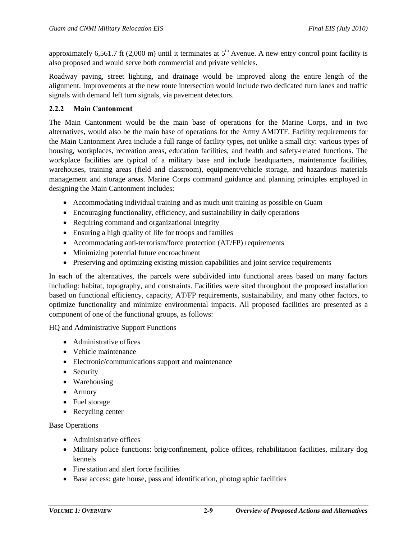approximately 6,561.7 ft (2,000 m) until it terminates at  $5<sup>th</sup>$  Avenue. A new entry control point facility is also proposed and would serve both commercial and private vehicles.

Roadway paving, street lighting, and drainage would be improved along the entire length of the alignment. Improvements at the new route intersection would include two dedicated turn lanes and traffic signals with demand left turn signals, via pavement detectors.

#### **2.2.2 Main Cantonment**

The Main Cantonment would be the main base of operations for the Marine Corps, and in two alternatives, would also be the main base of operations for the Army AMDTF. Facility requirements for the Main Cantonment Area include a full range of facility types, not unlike a small city: various types of housing, workplaces, recreation areas, education facilities, and health and safety-related functions. The workplace facilities are typical of a military base and include headquarters, maintenance facilities, warehouses, training areas (field and classroom), equipment/vehicle storage, and hazardous materials management and storage areas. Marine Corps command guidance and planning principles employed in designing the Main Cantonment includes:

- Accommodating individual training and as much unit training as possible on Guam
- Encouraging functionality, efficiency, and sustainability in daily operations
- Requiring command and organizational integrity
- Ensuring a high quality of life for troops and families
- Accommodating anti-terrorism/force protection (AT/FP) requirements
- Minimizing potential future encroachment
- Preserving and optimizing existing mission capabilities and joint service requirements

In each of the alternatives, the parcels were subdivided into functional areas based on many factors including: habitat, topography, and constraints. Facilities were sited throughout the proposed installation based on functional efficiency, capacity, AT/FP requirements, sustainability, and many other factors, to optimize functionality and minimize environmental impacts. All proposed facilities are presented as a component of one of the functional groups, as follows:

#### HQ and Administrative Support Functions

- Administrative offices
- Vehicle maintenance
- Electronic/communications support and maintenance
- Security
- Warehousing
- Armory
- Fuel storage
- Recycling center

#### Base Operations

- Administrative offices
- Military police functions: brig/confinement, police offices, rehabilitation facilities, military dog kennels
- Fire station and alert force facilities
- Base access: gate house, pass and identification, photographic facilities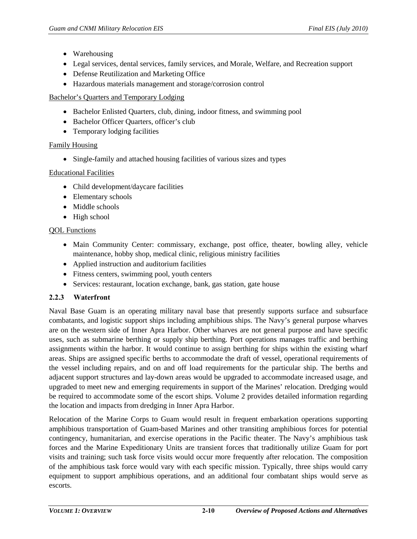- Warehousing
- Legal services, dental services, family services, and Morale, Welfare, and Recreation support
- Defense Reutilization and Marketing Office
- Hazardous materials management and storage/corrosion control

Bachelor's Quarters and Temporary Lodging

- Bachelor Enlisted Quarters, club, dining, indoor fitness, and swimming pool
- Bachelor Officer Quarters, officer's club
- Temporary lodging facilities

## Family Housing

• Single-family and attached housing facilities of various sizes and types

## Educational Facilities

- Child development/daycare facilities
- Elementary schools
- Middle schools
- High school

# QOL Functions

- Main Community Center: commissary, exchange, post office, theater, bowling alley, vehicle maintenance, hobby shop, medical clinic, religious ministry facilities
- Applied instruction and auditorium facilities
- Fitness centers, swimming pool, youth centers
- Services: restaurant, location exchange, bank, gas station, gate house

# **2.2.3 Waterfront**

Naval Base Guam is an operating military naval base that presently supports surface and subsurface combatants, and logistic support ships including amphibious ships. The Navy's general purpose wharves are on the western side of Inner Apra Harbor. Other wharves are not general purpose and have specific uses, such as submarine berthing or supply ship berthing. Port operations manages traffic and berthing assignments within the harbor. It would continue to assign berthing for ships within the existing wharf areas. Ships are assigned specific berths to accommodate the draft of vessel, operational requirements of the vessel including repairs, and on and off load requirements for the particular ship. The berths and adjacent support structures and lay-down areas would be upgraded to accommodate increased usage, and upgraded to meet new and emerging requirements in support of the Marines' relocation. Dredging would be required to accommodate some of the escort ships. Volume 2 provides detailed information regarding the location and impacts from dredging in Inner Apra Harbor.

Relocation of the Marine Corps to Guam would result in frequent embarkation operations supporting amphibious transportation of Guam-based Marines and other transiting amphibious forces for potential contingency, humanitarian, and exercise operations in the Pacific theater. The Navy's amphibious task forces and the Marine Expeditionary Units are transient forces that traditionally utilize Guam for port visits and training; such task force visits would occur more frequently after relocation. The composition of the amphibious task force would vary with each specific mission. Typically, three ships would carry equipment to support amphibious operations, and an additional four combatant ships would serve as escorts.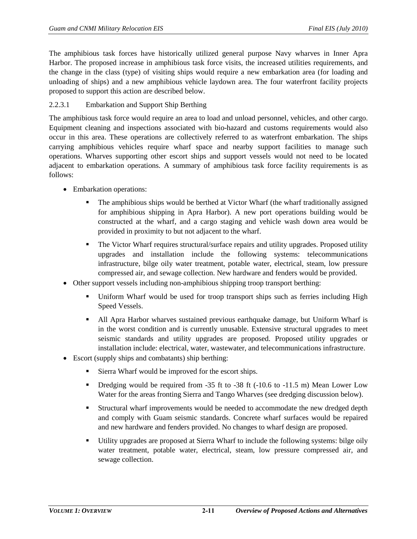The amphibious task forces have historically utilized general purpose Navy wharves in Inner Apra Harbor. The proposed increase in amphibious task force visits, the increased utilities requirements, and the change in the class (type) of visiting ships would require a new embarkation area (for loading and unloading of ships) and a new amphibious vehicle laydown area. The four waterfront facility projects proposed to support this action are described below.

## <span id="page-10-0"></span>2.2.3.1 Embarkation and Support Ship Berthing

The amphibious task force would require an area to load and unload personnel, vehicles, and other cargo. Equipment cleaning and inspections associated with bio-hazard and customs requirements would also occur in this area. These operations are collectively referred to as waterfront embarkation. The ships carrying amphibious vehicles require wharf space and nearby support facilities to manage such operations. Wharves supporting other escort ships and support vessels would not need to be located adjacent to embarkation operations. A summary of amphibious task force facility requirements is as follows:

- Embarkation operations:
	- The amphibious ships would be berthed at Victor Wharf (the wharf traditionally assigned for amphibious shipping in Apra Harbor). A new port operations building would be constructed at the wharf, and a cargo staging and vehicle wash down area would be provided in proximity to but not adjacent to the wharf.
	- The Victor Wharf requires structural/surface repairs and utility upgrades. Proposed utility upgrades and installation include the following systems: telecommunications infrastructure, bilge oily water treatment, potable water, electrical, steam, low pressure compressed air, and sewage collection. New hardware and fenders would be provided.
- Other support vessels including non-amphibious shipping troop transport berthing:
	- Uniform Wharf would be used for troop transport ships such as ferries including High Speed Vessels.
	- All Apra Harbor wharves sustained previous earthquake damage, but Uniform Wharf is in the worst condition and is currently unusable. Extensive structural upgrades to meet seismic standards and utility upgrades are proposed. Proposed utility upgrades or installation include: electrical, water, wastewater, and telecommunications infrastructure.
- Escort (supply ships and combatants) ship berthing:
	- Sierra Wharf would be improved for the escort ships.
	- Dredging would be required from  $-35$  ft to  $-38$  ft  $(-10.6$  to  $-11.5$  m) Mean Lower Low Water for the areas fronting Sierra and Tango Wharves (see dredging discussion below).
	- Structural wharf improvements would be needed to accommodate the new dredged depth and comply with Guam seismic standards. Concrete wharf surfaces would be repaired and new hardware and fenders provided. No changes to wharf design are proposed.
	- Utility upgrades are proposed at Sierra Wharf to include the following systems: bilge oily water treatment, potable water, electrical, steam, low pressure compressed air, and sewage collection.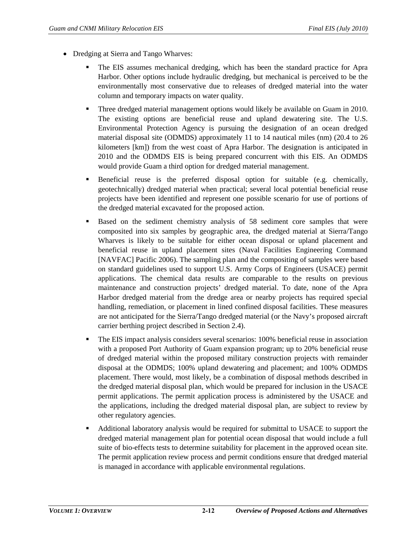- Dredging at Sierra and Tango Wharves:
	- The EIS assumes mechanical dredging, which has been the standard practice for Apra Harbor. Other options include hydraulic dredging, but mechanical is perceived to be the environmentally most conservative due to releases of dredged material into the water column and temporary impacts on water quality.
	- Three dredged material management options would likely be available on Guam in 2010. The existing options are beneficial reuse and upland dewatering site. The U.S. Environmental Protection Agency is pursuing the designation of an ocean dredged material disposal site (ODMDS) approximately 11 to 14 nautical miles (nm) (20.4 to 26 kilometers [km]) from the west coast of Apra Harbor. The designation is anticipated in 2010 and the ODMDS EIS is being prepared concurrent with this EIS. An ODMDS would provide Guam a third option for dredged material management.
	- Beneficial reuse is the preferred disposal option for suitable (e.g. chemically, geotechnically) dredged material when practical; several local potential beneficial reuse projects have been identified and represent one possible scenario for use of portions of the dredged material excavated for the proposed action.
	- **Based on the sediment chemistry analysis of 58 sediment core samples that were** composited into six samples by geographic area, the dredged material at Sierra/Tango Wharves is likely to be suitable for either ocean disposal or upland placement and beneficial reuse in upland placement sites (Naval Facilities Engineering Command [NAVFAC] Pacific 2006). The sampling plan and the compositing of samples were based on standard guidelines used to support U.S. Army Corps of Engineers (USACE) permit applications. The chemical data results are comparable to the results on previous maintenance and construction projects' dredged material. To date, none of the Apra Harbor dredged material from the dredge area or nearby projects has required special handling, remediation, or placement in lined confined disposal facilities. These measures are not anticipated for the Sierra/Tango dredged material (or the Navy's proposed aircraft carrier berthing project described in Section 2.4).
	- **The EIS impact analysis considers several scenarios: 100% beneficial reuse in association** with a proposed Port Authority of Guam expansion program; up to 20% beneficial reuse of dredged material within the proposed military construction projects with remainder disposal at the ODMDS; 100% upland dewatering and placement; and 100% ODMDS placement. There would, most likely, be a combination of disposal methods described in the dredged material disposal plan, which would be prepared for inclusion in the USACE permit applications. The permit application process is administered by the USACE and the applications, including the dredged material disposal plan, are subject to review by other regulatory agencies.
	- Additional laboratory analysis would be required for submittal to USACE to support the dredged material management plan for potential ocean disposal that would include a full suite of bio-effects tests to determine suitability for placement in the approved ocean site. The permit application review process and permit conditions ensure that dredged material is managed in accordance with applicable environmental regulations.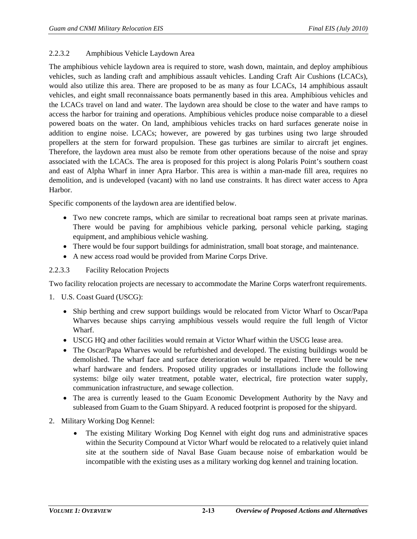#### 2.2.3.2 Amphibious Vehicle Laydown Area

The amphibious vehicle laydown area is required to store, wash down, maintain, and deploy amphibious vehicles, such as landing craft and amphibious assault vehicles. Landing Craft Air Cushions (LCACs), would also utilize this area. There are proposed to be as many as four LCACs, 14 amphibious assault vehicles, and eight small reconnaissance boats permanently based in this area. Amphibious vehicles and the LCACs travel on land and water. The laydown area should be close to the water and have ramps to access the harbor for training and operations. Amphibious vehicles produce noise comparable to a diesel powered boats on the water. On land, amphibious vehicles tracks on hard surfaces generate noise in addition to engine noise. LCACs; however, are powered by gas turbines using two large shrouded propellers at the stern for forward propulsion. These gas turbines are similar to aircraft jet engines. Therefore, the laydown area must also be remote from other operations because of the noise and spray associated with the LCACs. The area is proposed for this project is along Polaris Point's southern coast and east of Alpha Wharf in inner Apra Harbor. This area is within a man-made fill area, requires no demolition, and is undeveloped (vacant) with no land use constraints. It has direct water access to Apra Harbor.

Specific components of the laydown area are identified below.

- Two new concrete ramps, which are similar to recreational boat ramps seen at private marinas. There would be paving for amphibious vehicle parking, personal vehicle parking, staging equipment, and amphibious vehicle washing.
- There would be four support buildings for administration, small boat storage, and maintenance.
- A new access road would be provided from Marine Corps Drive.

## 2.2.3.3 Facility Relocation Projects

Two facility relocation projects are necessary to accommodate the Marine Corps waterfront requirements.

- 1. U.S. Coast Guard (USCG):
	- Ship berthing and crew support buildings would be relocated from Victor Wharf to Oscar/Papa Wharves because ships carrying amphibious vessels would require the full length of Victor Wharf.
	- USCG HQ and other facilities would remain at Victor Wharf within the USCG lease area.
	- The Oscar/Papa Wharves would be refurbished and developed. The existing buildings would be demolished. The wharf face and surface deterioration would be repaired. There would be new wharf hardware and fenders. Proposed utility upgrades or installations include the following systems: bilge oily water treatment, potable water, electrical, fire protection water supply, communication infrastructure, and sewage collection.
	- The area is currently leased to the Guam Economic Development Authority by the Navy and subleased from Guam to the Guam Shipyard. A reduced footprint is proposed for the shipyard.
- 2. Military Working Dog Kennel:
	- The existing Military Working Dog Kennel with eight dog runs and administrative spaces within the Security Compound at Victor Wharf would be relocated to a relatively quiet inland site at the southern side of Naval Base Guam because noise of embarkation would be incompatible with the existing uses as a military working dog kennel and training location.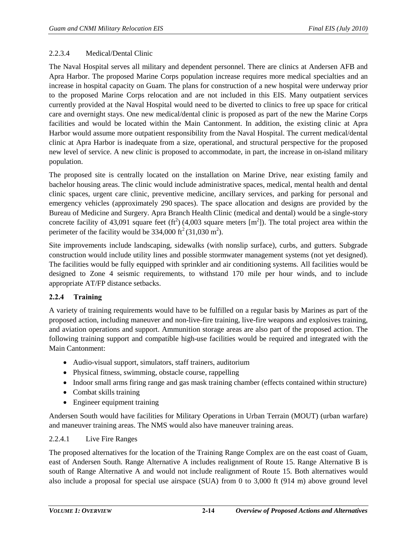#### 2.2.3.4 Medical/Dental Clinic

The Naval Hospital serves all military and dependent personnel. There are clinics at Andersen AFB and Apra Harbor. The proposed Marine Corps population increase requires more medical specialties and an increase in hospital capacity on Guam. The plans for construction of a new hospital were underway prior to the proposed Marine Corps relocation and are not included in this EIS. Many outpatient services currently provided at the Naval Hospital would need to be diverted to clinics to free up space for critical care and overnight stays. One new medical/dental clinic is proposed as part of the new the Marine Corps facilities and would be located within the Main Cantonment. In addition, the existing clinic at Apra Harbor would assume more outpatient responsibility from the Naval Hospital. The current medical/dental clinic at Apra Harbor is inadequate from a size, operational, and structural perspective for the proposed new level of service. A new clinic is proposed to accommodate, in part, the increase in on-island military population.

The proposed site is centrally located on the installation on Marine Drive, near existing family and bachelor housing areas. The clinic would include administrative spaces, medical, mental health and dental clinic spaces, urgent care clinic, preventive medicine, ancillary services, and parking for personal and emergency vehicles (approximately 290 spaces). The space allocation and designs are provided by the Bureau of Medicine and Surgery. Apra Branch Health Clinic (medical and dental) would be a single-story concrete facility of 43,091 square feet (ft<sup>2</sup>) (4,003 square meters [m<sup>2</sup>]). The total project area within the perimeter of the facility would be  $334,000 \text{ ft}^2 (31,030 \text{ m}^2)$ .

Site improvements include landscaping, sidewalks (with nonslip surface), curbs, and gutters. Subgrade construction would include utility lines and possible stormwater management systems (not yet designed). The facilities would be fully equipped with sprinkler and air conditioning systems. All facilities would be designed to Zone 4 seismic requirements, to withstand 170 mile per hour winds, and to include appropriate AT/FP distance setbacks.

## **2.2.4 Training**

A variety of training requirements would have to be fulfilled on a regular basis by Marines as part of the proposed action, including maneuver and non-live-fire training, live-fire weapons and explosives training, and aviation operations and support. Ammunition storage areas are also part of the proposed action. The following training support and compatible high-use facilities would be required and integrated with the Main Cantonment:

- Audio-visual support, simulators, staff trainers, auditorium
- Physical fitness, swimming, obstacle course, rappelling
- Indoor small arms firing range and gas mask training chamber (effects contained within structure)
- Combat skills training
- Engineer equipment training

Andersen South would have facilities for Military Operations in Urban Terrain (MOUT) (urban warfare) and maneuver training areas. The NMS would also have maneuver training areas.

#### 2.2.4.1 Live Fire Ranges

The proposed alternatives for the location of the Training Range Complex are on the east coast of Guam, east of Andersen South. Range Alternative A includes realignment of Route 15. Range Alternative B is south of Range Alternative A and would not include realignment of Route 15. Both alternatives would also include a proposal for special use airspace (SUA) from 0 to 3,000 ft (914 m) above ground level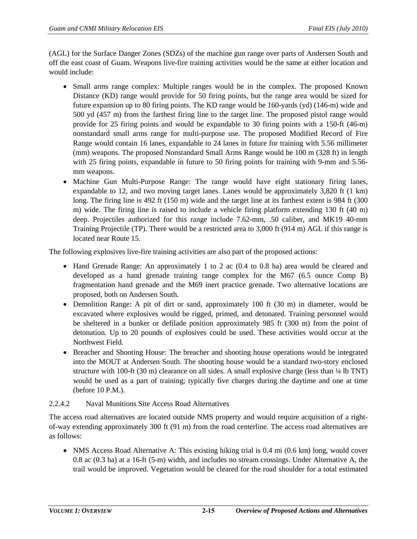(AGL) for the Surface Danger Zones (SDZs) of the machine gun range over parts of Andersen South and off the east coast of Guam. Weapons live-fire training activities would be the same at either location and would include:

- Small arms range complex: Multiple ranges would be in the complex. The proposed Known Distance (KD) range would provide for 50 firing points, but the range area would be sized for future expansion up to 80 firing points. The KD range would be 160-yards (yd) (146-m) wide and 500 yd (457 m) from the farthest firing line to the target line. The proposed pistol range would provide for 25 firing points and would be expandable to 30 firing points with a 150-ft (46-m) nonstandard small arms range for multi-purpose use. The proposed Modified Record of Fire Range would contain 16 lanes, expandable to 24 lanes in future for training with 5.56 millimeter (mm) weapons. The proposed Nonstandard Small Arms Range would be 100 m (328 ft) in length with 25 firing points, expandable in future to 50 firing points for training with 9-mm and 5.56mm weapons.
- Machine Gun Multi-Purpose Range: The range would have eight stationary firing lanes, expandable to 12, and two moving target lanes. Lanes would be approximately 3,820 ft (1 km) long. The firing line is 492 ft (150 m) wide and the target line at its farthest extent is 984 ft (300 m) wide. The firing line is raised to include a vehicle firing platform extending 130 ft (40 m) deep. Projectiles authorized for this range include 7.62-mm, .50 caliber, and MK19 40-mm Training Projectile (TP). There would be a restricted area to 3,000 ft (914 m) AGL if this range is located near Route 15.

The following explosives live-fire training activities are also part of the proposed actions:

- Hand Grenade Range: An approximately 1 to 2 ac (0.4 to 0.8 ha) area would be cleared and developed as a hand grenade training range complex for the M67 (6.5 ounce Comp B) fragmentation hand grenade and the M69 inert practice grenade. Two alternative locations are proposed, both on Andersen South.
- Demolition Range: A pit of dirt or sand, approximately 100 ft (30 m) in diameter, would be excavated where explosives would be rigged, primed, and detonated. Training personnel would be sheltered in a bunker or defilade position approximately 985 ft (300 m) from the point of detonation. Up to 20 pounds of explosives could be used. These activities would occur at the Northwest Field.
- Breacher and Shooting House: The breacher and shooting house operations would be integrated into the MOUT at Andersen South. The shooting house would be a standard two-story enclosed structure with 100-ft (30 m) clearance on all sides. A small explosive charge (less than ¼ lb TNT) would be used as a part of training; typically five charges during the daytime and one at time (before 10 P.M.).

## 2.2.4.2 Naval Munitions Site Access Road Alternatives

The access road alternatives are located outside NMS property and would require acquisition of a rightof-way extending approximately 300 ft (91 m) from the road centerline. The access road alternatives are as follows:

• NMS Access Road Alternative A: This existing hiking trial is 0.4 mi (0.6 km) long, would cover 0.8 ac (0.3 ha) at a 16-ft (5-m) width, and includes no stream crossings. Under Alternative A, the trail would be improved. Vegetation would be cleared for the road shoulder for a total estimated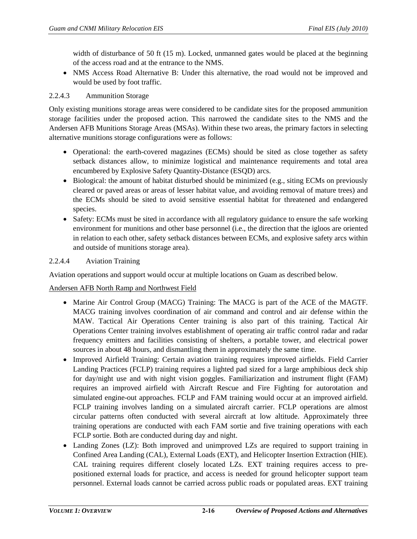width of disturbance of 50 ft (15 m). Locked, unmanned gates would be placed at the beginning of the access road and at the entrance to the NMS.

• NMS Access Road Alternative B: Under this alternative, the road would not be improved and would be used by foot traffic.

#### 2.2.4.3 Ammunition Storage

Only existing munitions storage areas were considered to be candidate sites for the proposed ammunition storage facilities under the proposed action. This narrowed the candidate sites to the NMS and the Andersen AFB Munitions Storage Areas (MSAs). Within these two areas, the primary factors in selecting alternative munitions storage configurations were as follows:

- Operational: the earth-covered magazines (ECMs) should be sited as close together as safety setback distances allow, to minimize logistical and maintenance requirements and total area encumbered by Explosive Safety Quantity-Distance (ESQD) arcs.
- Biological: the amount of habitat disturbed should be minimized (e.g., siting ECMs on previously cleared or paved areas or areas of lesser habitat value, and avoiding removal of mature trees) and the ECMs should be sited to avoid sensitive essential habitat for threatened and endangered species.
- Safety: ECMs must be sited in accordance with all regulatory guidance to ensure the safe working environment for munitions and other base personnel (i.e., the direction that the igloos are oriented in relation to each other, safety setback distances between ECMs, and explosive safety arcs within and outside of munitions storage area).

#### 2.2.4.4 Aviation Training

Aviation operations and support would occur at multiple locations on Guam as described below.

## Andersen AFB North Ramp and Northwest Field

- Marine Air Control Group (MACG) Training: The MACG is part of the ACE of the MAGTF. MACG training involves coordination of air command and control and air defense within the MAW. Tactical Air Operations Center training is also part of this training. Tactical Air Operations Center training involves establishment of operating air traffic control radar and radar frequency emitters and facilities consisting of shelters, a portable tower, and electrical power sources in about 48 hours, and dismantling them in approximately the same time.
- Improved Airfield Training: Certain aviation training requires improved airfields. Field Carrier Landing Practices (FCLP) training requires a lighted pad sized for a large amphibious deck ship for day/night use and with night vision goggles. Familiarization and instrument flight (FAM) requires an improved airfield with Aircraft Rescue and Fire Fighting for autorotation and simulated engine-out approaches. FCLP and FAM training would occur at an improved airfield. FCLP training involves landing on a simulated aircraft carrier. FCLP operations are almost circular patterns often conducted with several aircraft at low altitude. Approximately three training operations are conducted with each FAM sortie and five training operations with each FCLP sortie. Both are conducted during day and night.
- Landing Zones (LZ): Both improved and unimproved LZs are required to support training in Confined Area Landing (CAL), External Loads (EXT), and Helicopter Insertion Extraction (HIE). CAL training requires different closely located LZs. EXT training requires access to prepositioned external loads for practice, and access is needed for ground helicopter support team personnel. External loads cannot be carried across public roads or populated areas. EXT training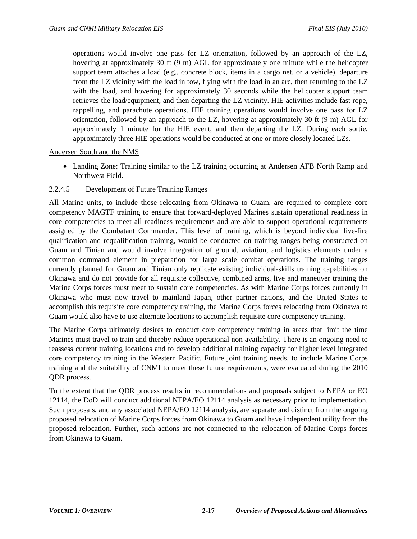operations would involve one pass for LZ orientation, followed by an approach of the LZ, hovering at approximately 30 ft (9 m) AGL for approximately one minute while the helicopter support team attaches a load (e.g., concrete block, items in a cargo net, or a vehicle), departure from the LZ vicinity with the load in tow, flying with the load in an arc, then returning to the LZ with the load, and hovering for approximately 30 seconds while the helicopter support team retrieves the load/equipment, and then departing the LZ vicinity. HIE activities include fast rope, rappelling, and parachute operations. HIE training operations would involve one pass for LZ orientation, followed by an approach to the LZ, hovering at approximately 30 ft (9 m) AGL for approximately 1 minute for the HIE event, and then departing the LZ. During each sortie, approximately three HIE operations would be conducted at one or more closely located LZs.

#### Andersen South and the NMS

• Landing Zone: Training similar to the LZ training occurring at Andersen AFB North Ramp and Northwest Field.

#### 2.2.4.5 Development of Future Training Ranges

All Marine units, to include those relocating from Okinawa to Guam, are required to complete core competency MAGTF training to ensure that forward-deployed Marines sustain operational readiness in core competencies to meet all readiness requirements and are able to support operational requirements assigned by the Combatant Commander. This level of training, which is beyond individual live-fire qualification and requalification training, would be conducted on training ranges being constructed on Guam and Tinian and would involve integration of ground, aviation, and logistics elements under a common command element in preparation for large scale combat operations. The training ranges currently planned for Guam and Tinian only replicate existing individual-skills training capabilities on Okinawa and do not provide for all requisite collective, combined arms, live and maneuver training the Marine Corps forces must meet to sustain core competencies. As with Marine Corps forces currently in Okinawa who must now travel to mainland Japan, other partner nations, and the United States to accomplish this requisite core competency training, the Marine Corps forces relocating from Okinawa to Guam would also have to use alternate locations to accomplish requisite core competency training.

The Marine Corps ultimately desires to conduct core competency training in areas that limit the time Marines must travel to train and thereby reduce operational non-availability. There is an ongoing need to reassess current training locations and to develop additional training capacity for higher level integrated core competency training in the Western Pacific. Future joint training needs, to include Marine Corps training and the suitability of CNMI to meet these future requirements, were evaluated during the 2010 QDR process.

To the extent that the QDR process results in recommendations and proposals subject to NEPA or EO 12114, the DoD will conduct additional NEPA/EO 12114 analysis as necessary prior to implementation. Such proposals, and any associated NEPA/EO 12114 analysis, are separate and distinct from the ongoing proposed relocation of Marine Corps forces from Okinawa to Guam and have independent utility from the proposed relocation. Further, such actions are not connected to the relocation of Marine Corps forces from Okinawa to Guam.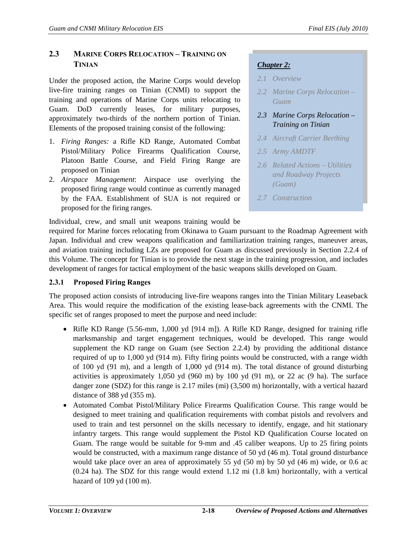# **2.3 MARINE CORPS RELOCATION – TRAINING ON TINIAN**

Under the proposed action, the Marine Corps would develop live-fire training ranges on Tinian (CNMI) to support the training and operations of Marine Corps units relocating to Guam. DoD currently leases, for military purposes, approximately two-thirds of the northern portion of Tinian. Elements of the proposed training consist of the following:

- 1. *Firing Ranges:* a Rifle KD Range, Automated Combat Pistol/Military Police Firearms Qualification Course, Platoon Battle Course, and Field Firing Range are proposed on Tinian
- 2. *Airspace Management*: Airspace use overlying the proposed firing range would continue as currently managed by the FAA. Establishment of SUA is not required or proposed for the firing ranges.

# *Chapter 2:*

- *2.1 Overview*
- *2.2 Marine Corps Relocation Guam*
- *2.3 Marine Corps Relocation Training on Tinian*
- *2.4 Aircraft Carrier Berthing*
- *2.5 Army AMDTF*
- *2.6 Related Actions Utilities and Roadway Projects (Guam)*
- *2.7 Construction*

Individual, crew, and small unit weapons training would be

required for Marine forces relocating from Okinawa to Guam pursuant to the Roadmap Agreement with Japan. Individual and crew weapons qualification and familiarization training ranges, maneuver areas, and aviation training including LZs are proposed for Guam as discussed previously in Section 2.2.4 of this Volume. The concept for Tinian is to provide the next stage in the training progression, and includes development of ranges for tactical employment of the basic weapons skills developed on Guam.

# **2.3.1 Proposed Firing Ranges**

The proposed action consists of introducing live-fire weapons ranges into the Tinian Military Leaseback Area. This would require the modification of the existing lease-back agreements with the CNMI. The specific set of ranges proposed to meet the purpose and need include:

- Rifle KD Range (5.56-mm, 1,000 yd [914 m]). A Rifle KD Range, designed for training rifle marksmanship and target engagement techniques, would be developed. This range would supplement the KD range on Guam (see Section 2.2.4) by providing the additional distance required of up to 1,000 yd (914 m). Fifty firing points would be constructed, with a range width of 100 yd (91 m), and a length of 1,000 yd (914 m). The total distance of ground disturbing activities is approximately 1,050 yd (960 m) by 100 yd (91 m), or 22 ac (9 ha). The surface danger zone (SDZ) for this range is 2.17 miles (mi) (3,500 m) horizontally, with a vertical hazard distance of 388 yd (355 m).
- Automated Combat Pistol/Military Police Firearms Qualification Course. This range would be designed to meet training and qualification requirements with combat pistols and revolvers and used to train and test personnel on the skills necessary to identify, engage, and hit stationary infantry targets. This range would supplement the Pistol KD Qualification Course located on Guam. The range would be suitable for 9-mm and .45 caliber weapons. Up to 25 firing points would be constructed, with a maximum range distance of 50 yd (46 m). Total ground disturbance would take place over an area of approximately 55 yd (50 m) by 50 yd (46 m) wide, or 0.6 ac (0.24 ha). The SDZ for this range would extend 1.12 mi (1.8 km) horizontally, with a vertical hazard of 109 yd (100 m).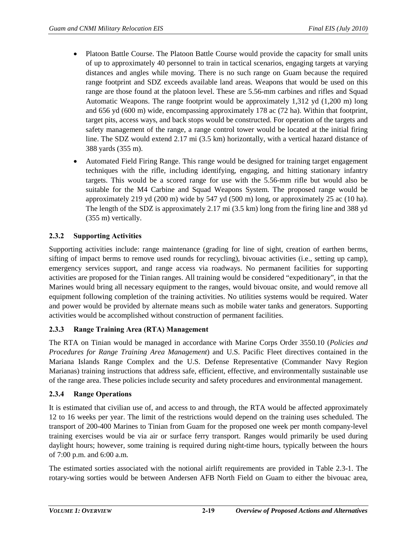- Platoon Battle Course. The Platoon Battle Course would provide the capacity for small units of up to approximately 40 personnel to train in tactical scenarios, engaging targets at varying distances and angles while moving. There is no such range on Guam because the required range footprint and SDZ exceeds available land areas. Weapons that would be used on this range are those found at the platoon level. These are 5.56-mm carbines and rifles and Squad Automatic Weapons. The range footprint would be approximately 1,312 yd (1,200 m) long and 656 yd (600 m) wide, encompassing approximately 178 ac (72 ha). Within that footprint, target pits, access ways, and back stops would be constructed. For operation of the targets and safety management of the range, a range control tower would be located at the initial firing line. The SDZ would extend 2.17 mi (3.5 km) horizontally, with a vertical hazard distance of 388 yards (355 m).
- Automated Field Firing Range. This range would be designed for training target engagement techniques with the rifle, including identifying, engaging, and hitting stationary infantry targets. This would be a scored range for use with the 5.56-mm rifle but would also be suitable for the M4 Carbine and Squad Weapons System. The proposed range would be approximately 219 yd (200 m) wide by 547 yd (500 m) long, or approximately 25 ac (10 ha). The length of the SDZ is approximately 2.17 mi (3.5 km) long from the firing line and 388 yd (355 m) vertically.

## **2.3.2 Supporting Activities**

Supporting activities include: range maintenance (grading for line of sight, creation of earthen berms, sifting of impact berms to remove used rounds for recycling), bivouac activities (i.e., setting up camp), emergency services support, and range access via roadways. No permanent facilities for supporting activities are proposed for the Tinian ranges. All training would be considered "expeditionary", in that the Marines would bring all necessary equipment to the ranges, would bivouac onsite, and would remove all equipment following completion of the training activities. No utilities systems would be required. Water and power would be provided by alternate means such as mobile water tanks and generators. Supporting activities would be accomplished without construction of permanent facilities.

## **2.3.3 Range Training Area (RTA) Management**

The RTA on Tinian would be managed in accordance with Marine Corps Order 3550.10 (*Policies and Procedures for Range Training Area Management*) and U.S. Pacific Fleet directives contained in the Mariana Islands Range Complex and the U.S. Defense Representative (Commander Navy Region Marianas) training instructions that address safe, efficient, effective, and environmentally sustainable use of the range area. These policies include security and safety procedures and environmental management.

## **2.3.4 Range Operations**

It is estimated that civilian use of, and access to and through, the RTA would be affected approximately 12 to 16 weeks per year. The limit of the restrictions would depend on the training uses scheduled. The transport of 200-400 Marines to Tinian from Guam for the proposed one week per month company-level training exercises would be via air or surface ferry transport. Ranges would primarily be used during daylight hours; however, some training is required during night-time hours, typically between the hours of 7:00 p.m. and 6:00 a.m.

The estimated sorties associated with the notional airlift requirements are provided in Table 2.3-1. The rotary-wing sorties would be between Andersen AFB North Field on Guam to either the bivouac area,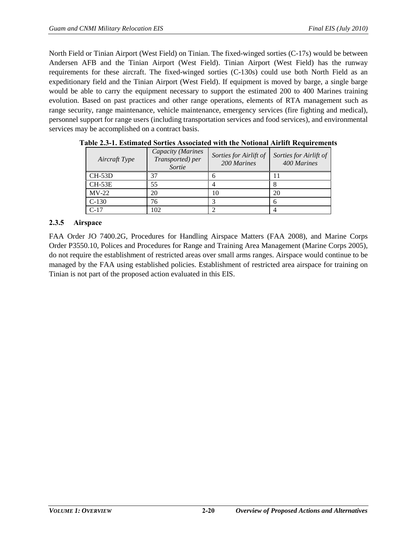North Field or Tinian Airport (West Field) on Tinian. The fixed-winged sorties (C-17s) would be between Andersen AFB and the Tinian Airport (West Field). Tinian Airport (West Field) has the runway requirements for these aircraft. The fixed-winged sorties (C-130s) could use both North Field as an expeditionary field and the Tinian Airport (West Field). If equipment is moved by barge, a single barge would be able to carry the equipment necessary to support the estimated 200 to 400 Marines training evolution. Based on past practices and other range operations, elements of RTA management such as range security, range maintenance, vehicle maintenance, emergency services (fire fighting and medical), personnel support for range users (including transportation services and food services), and environmental services may be accomplished on a contract basis.

| Aircraft Type | Capacity (Marines<br>Transported) per<br>Sortie | Sorties for Airlift of<br>200 Marines | Sorties for Airlift of<br>400 Marines |
|---------------|-------------------------------------------------|---------------------------------------|---------------------------------------|
| $CH-53D$      | 37                                              |                                       |                                       |
| $CH-53E$      | 55                                              |                                       |                                       |
| $MV-22$       | 20                                              | 10                                    | 20                                    |
| $C-130$       | 76                                              |                                       |                                       |
| $C-17$        | 02                                              |                                       |                                       |

**Table 2.3-1. Estimated Sorties Associated with the Notional Airlift Requirements**

## **2.3.5 Airspace**

FAA Order JO 7400.2G, Procedures for Handling Airspace Matters (FAA 2008), and Marine Corps Order P3550.10, Polices and Procedures for Range and Training Area Management (Marine Corps 2005), do not require the establishment of restricted areas over small arms ranges. Airspace would continue to be managed by the FAA using established policies. Establishment of restricted area airspace for training on Tinian is not part of the proposed action evaluated in this EIS.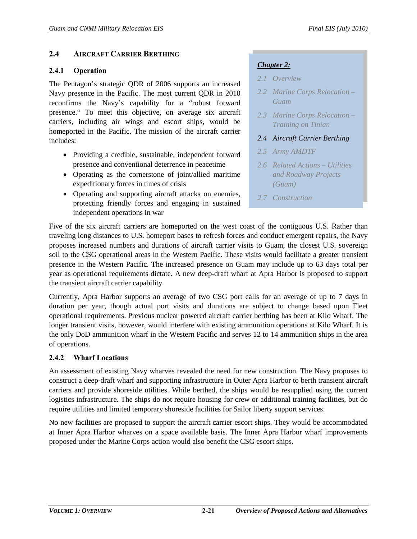## **2.4 AIRCRAFT CARRIER BERTHING**

#### **2.4.1 Operation**

The Pentagon's strategic QDR of 2006 supports an increased Navy presence in the Pacific. The most current QDR in 2010 reconfirms the Navy's capability for a "robust forward presence." To meet this objective, on average six aircraft carriers, including air wings and escort ships, would be homeported in the Pacific. The mission of the aircraft carrier includes:

- Providing a credible, sustainable, independent forward presence and conventional deterrence in peacetime
- Operating as the cornerstone of joint/allied maritime expeditionary forces in times of crisis
- Operating and supporting aircraft attacks on enemies, protecting friendly forces and engaging in sustained independent operations in war

# *Chapter 2:*

- *2.1 Overview*
- *2.2 Marine Corps Relocation Guam*
- *2.3 Marine Corps Relocation Training on Tinian*
- *2.4 Aircraft Carrier Berthing*
- *2.5 Army AMDTF*
- *2.6 Related Actions Utilities and Roadway Projects (Guam)*
- *2.7 Construction*

Five of the six aircraft carriers are homeported on the west coast of the contiguous U.S. Rather than traveling long distances to U.S. homeport bases to refresh forces and conduct emergent repairs, the Navy proposes increased numbers and durations of aircraft carrier visits to Guam, the closest U.S. sovereign soil to the CSG operational areas in the Western Pacific. These visits would facilitate a greater transient presence in the Western Pacific. The increased presence on Guam may include up to 63 days total per year as operational requirements dictate. A new deep-draft wharf at Apra Harbor is proposed to support the transient aircraft carrier capability

Currently, Apra Harbor supports an average of two CSG port calls for an average of up to 7 days in duration per year, though actual port visits and durations are subject to change based upon Fleet operational requirements. Previous nuclear powered aircraft carrier berthing has been at Kilo Wharf. The longer transient visits, however, would interfere with existing ammunition operations at Kilo Wharf. It is the only DoD ammunition wharf in the Western Pacific and serves 12 to 14 ammunition ships in the area of operations.

## **2.4.2 Wharf Locations**

An assessment of existing Navy wharves revealed the need for new construction. The Navy proposes to construct a deep-draft wharf and supporting infrastructure in Outer Apra Harbor to berth transient aircraft carriers and provide shoreside utilities. While berthed, the ships would be resupplied using the current logistics infrastructure. The ships do not require housing for crew or additional training facilities, but do require utilities and limited temporary shoreside facilities for Sailor liberty support services.

No new facilities are proposed to support the aircraft carrier escort ships. They would be accommodated at Inner Apra Harbor wharves on a space available basis. The Inner Apra Harbor wharf improvements proposed under the Marine Corps action would also benefit the CSG escort ships.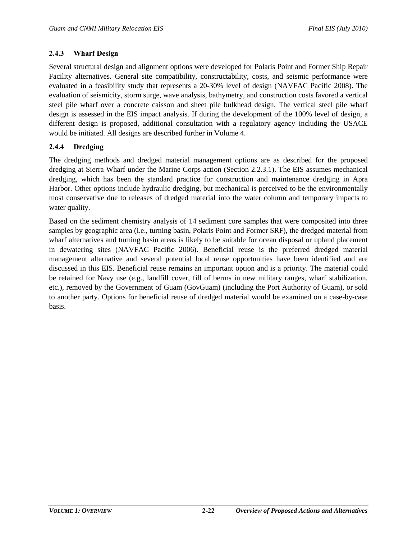#### **2.4.3 Wharf Design**

Several structural design and alignment options were developed for Polaris Point and Former Ship Repair Facility alternatives. General site compatibility, constructability, costs, and seismic performance were evaluated in a feasibility study that represents a 20-30% level of design (NAVFAC Pacific 2008). The evaluation of seismicity, storm surge, wave analysis, bathymetry, and construction costs favored a vertical steel pile wharf over a concrete caisson and sheet pile bulkhead design. The vertical steel pile wharf design is assessed in the EIS impact analysis. If during the development of the 100% level of design, a different design is proposed, additional consultation with a regulatory agency including the USACE would be initiated. All designs are described further in Volume 4.

## **2.4.4 Dredging**

The dredging methods and dredged material management options are as described for the proposed dredging at Sierra Wharf under the Marine Corps action (Section [2.2.3.1\)](#page-10-0). The EIS assumes mechanical dredging, which has been the standard practice for construction and maintenance dredging in Apra Harbor. Other options include hydraulic dredging, but mechanical is perceived to be the environmentally most conservative due to releases of dredged material into the water column and temporary impacts to water quality.

Based on the sediment chemistry analysis of 14 sediment core samples that were composited into three samples by geographic area (i.e., turning basin, Polaris Point and Former SRF), the dredged material from wharf alternatives and turning basin areas is likely to be suitable for ocean disposal or upland placement in dewatering sites (NAVFAC Pacific 2006). Beneficial reuse is the preferred dredged material management alternative and several potential local reuse opportunities have been identified and are discussed in this EIS. Beneficial reuse remains an important option and is a priority. The material could be retained for Navy use (e.g., landfill cover, fill of berms in new military ranges, wharf stabilization, etc.), removed by the Government of Guam (GovGuam) (including the Port Authority of Guam), or sold to another party. Options for beneficial reuse of dredged material would be examined on a case-by-case basis.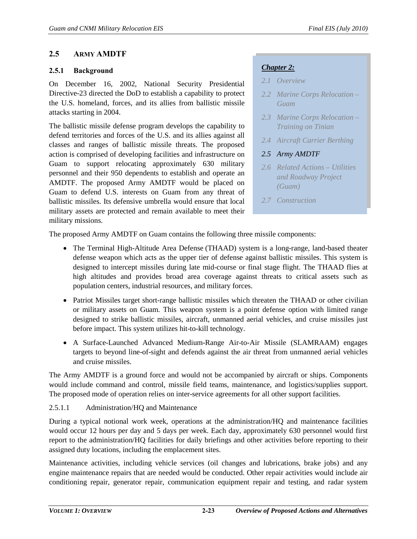## **2.5 ARMY AMDTF**

#### **2.5.1 Background**

On December 16, 2002, National Security Presidential Directive-23 directed the DoD to establish a capability to protect the U.S. homeland, forces, and its allies from ballistic missile attacks starting in 2004.

The ballistic missile defense program develops the capability to defend territories and forces of the U.S. and its allies against all classes and ranges of ballistic missile threats. The proposed action is comprised of developing facilities and infrastructure on Guam to support relocating approximately 630 military personnel and their 950 dependents to establish and operate an AMDTF. The proposed Army AMDTF would be placed on Guam to defend U.S. interests on Guam from any threat of ballistic missiles. Its defensive umbrella would ensure that local military assets are protected and remain available to meet their military missions.

## *Chapter 2:*

- *2.1 Overview*
- *2.2 Marine Corps Relocation Guam*
- *2.3 Marine Corps Relocation Training on Tinian*
- *2.4 Aircraft Carrier Berthing*
- *2.5 Army AMDTF*
- *2.6 Related Actions Utilities and Roadway Project (Guam)*
- *2.7 Construction*

The proposed Army AMDTF on Guam contains the following three missile components:

- The Terminal High-Altitude Area Defense (THAAD) system is a long-range, land-based theater defense weapon which acts as the upper tier of defense against ballistic missiles. This system is designed to intercept missiles during late mid-course or final stage flight. The THAAD flies at high altitudes and provides broad area coverage against threats to critical assets such as population centers, industrial resources, and military forces.
- Patriot Missiles target short-range ballistic missiles which threaten the THAAD or other civilian or military assets on Guam. This weapon system is a point defense option with limited range designed to strike ballistic missiles, aircraft, unmanned aerial vehicles, and cruise missiles just before impact. This system utilizes hit-to-kill technology.
- A Surface-Launched Advanced Medium-Range Air-to-Air Missile (SLAMRAAM) engages targets to beyond line-of-sight and defends against the air threat from unmanned aerial vehicles and cruise missiles.

The Army AMDTF is a ground force and would not be accompanied by aircraft or ships. Components would include command and control, missile field teams, maintenance, and logistics/supplies support. The proposed mode of operation relies on inter-service agreements for all other support facilities.

## 2.5.1.1 Administration/HQ and Maintenance

During a typical notional work week, operations at the administration/HQ and maintenance facilities would occur 12 hours per day and 5 days per week. Each day, approximately 630 personnel would first report to the administration/HQ facilities for daily briefings and other activities before reporting to their assigned duty locations, including the emplacement sites.

Maintenance activities, including vehicle services (oil changes and lubrications, brake jobs) and any engine maintenance repairs that are needed would be conducted. Other repair activities would include air conditioning repair, generator repair, communication equipment repair and testing, and radar system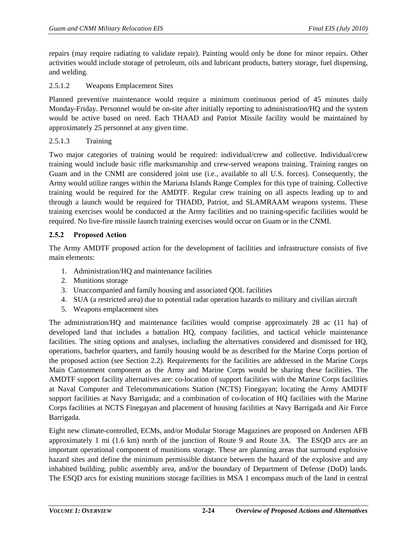repairs (may require radiating to validate repair). Painting would only be done for minor repairs. Other activities would include storage of petroleum, oils and lubricant products, battery storage, fuel dispensing, and welding.

## 2.5.1.2 Weapons Emplacement Sites

Planned preventive maintenance would require a minimum continuous period of 45 minutes daily Monday-Friday. Personnel would be on-site after initially reporting to administration/HQ and the system would be active based on need. Each THAAD and Patriot Missile facility would be maintained by approximately 25 personnel at any given time.

#### 2.5.1.3 Training

Two major categories of training would be required: individual/crew and collective. Individual/crew training would include basic rifle marksmanship and crew-served weapons training. Training ranges on Guam and in the CNMI are considered joint use (i.e., available to all U.S. forces). Consequently, the Army would utilize ranges within the Mariana Islands Range Complex for this type of training. Collective training would be required for the AMDTF. Regular crew training on all aspects leading up to and through a launch would be required for THADD, Patriot, and SLAMRAAM weapons systems. These training exercises would be conducted at the Army facilities and no training-specific facilities would be required. No live-fire missile launch training exercises would occur on Guam or in the CNMI.

## **2.5.2 Proposed Action**

The Army AMDTF proposed action for the development of facilities and infrastructure consists of five main elements:

- 1. Administration/HQ and maintenance facilities
- 2. Munitions storage
- 3. Unaccompanied and family housing and associated QOL facilities
- 4. SUA (a restricted area) due to potential radar operation hazards to military and civilian aircraft
- 5. Weapons emplacement sites

The administration/HQ and maintenance facilities would comprise approximately 28 ac (11 ha) of developed land that includes a battalion HQ, company facilities, and tactical vehicle maintenance facilities. The siting options and analyses, including the alternatives considered and dismissed for HQ, operations, bachelor quarters, and family housing would be as described for the Marine Corps portion of the proposed action (see Section [2.2\)](#page-6-0). Requirements for the facilities are addressed in the Marine Corps Main Cantonment component as the Army and Marine Corps would be sharing these facilities. The AMDTF support facility alternatives are: co-location of support facilities with the Marine Corps facilities at Naval Computer and Telecommunications Station (NCTS) Finegayan; locating the Army AMDTF support facilities at Navy Barrigada; and a combination of co-location of HQ facilities with the Marine Corps facilities at NCTS Finegayan and placement of housing facilities at Navy Barrigada and Air Force Barrigada.

Eight new climate-controlled, ECMs, and/or Modular Storage Magazines are proposed on Andersen AFB approximately 1 mi (1.6 km) north of the junction of Route 9 and Route 3A. The ESQD arcs are an important operational component of munitions storage. These are planning areas that surround explosive hazard sites and define the minimum permissible distance between the hazard of the explosive and any inhabited building, public assembly area, and/or the boundary of Department of Defense (DoD) lands. The ESQD arcs for existing munitions storage facilities in MSA 1 encompass much of the land in central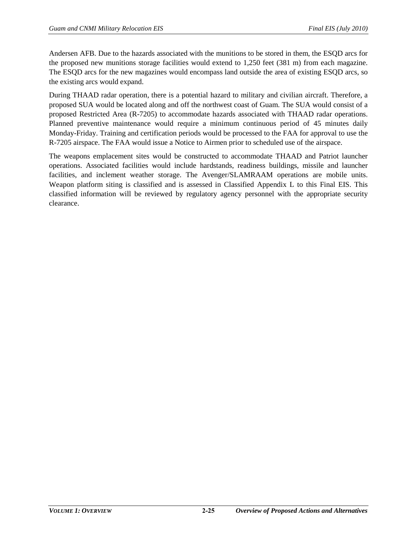Andersen AFB. Due to the hazards associated with the munitions to be stored in them, the ESQD arcs for the proposed new munitions storage facilities would extend to 1,250 feet (381 m) from each magazine. The ESQD arcs for the new magazines would encompass land outside the area of existing ESQD arcs, so the existing arcs would expand.

During THAAD radar operation, there is a potential hazard to military and civilian aircraft. Therefore, a proposed SUA would be located along and off the northwest coast of Guam. The SUA would consist of a proposed Restricted Area (R-7205) to accommodate hazards associated with THAAD radar operations. Planned preventive maintenance would require a minimum continuous period of 45 minutes daily Monday-Friday. Training and certification periods would be processed to the FAA for approval to use the R-7205 airspace. The FAA would issue a Notice to Airmen prior to scheduled use of the airspace.

The weapons emplacement sites would be constructed to accommodate THAAD and Patriot launcher operations. Associated facilities would include hardstands, readiness buildings, missile and launcher facilities, and inclement weather storage. The Avenger/SLAMRAAM operations are mobile units. Weapon platform siting is classified and is assessed in Classified Appendix L to this Final EIS. This classified information will be reviewed by regulatory agency personnel with the appropriate security clearance.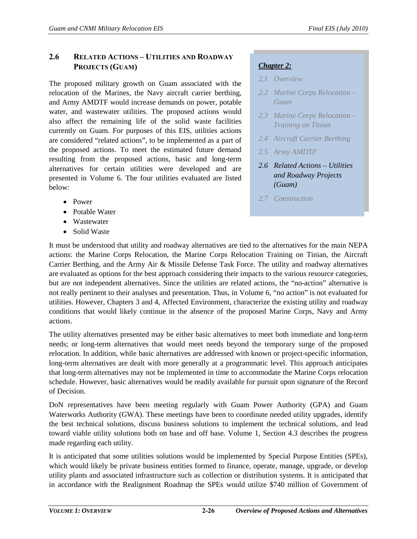# **2.6 RELATED ACTIONS – UTILITIES AND ROADWAY PROJECTS (GUAM)**

The proposed military growth on Guam associated with the relocation of the Marines, the Navy aircraft carrier berthing, and Army AMDTF would increase demands on power, potable water, and wastewater utilities. The proposed actions would also affect the remaining life of the solid waste facilities currently on Guam. For purposes of this EIS, utilities actions are considered "related actions", to be implemented as a part of the proposed actions. To meet the estimated future demand resulting from the proposed actions, basic and long-term alternatives for certain utilities were developed and are presented in Volume 6. The four utilities evaluated are listed below:

- Power
- Potable Water
- Wastewater
- Solid Waste

# *Chapter 2:*

- *2.1 Overview 2.1 Overview*
- *2.2 Marine Corps Relocation Guam*
- *2.3 Marine Corps Relocation*  **Training on Tinian** *2.2 Marine Corps Relocation – Guam 2.3 Marine Corps Relocation – Training on Tinian*
- 2.4 Aircraft Carrier Berthing<br>2.5 Army AMDTF
- *2.5 Army AMDTF*
- 2.6 Related Actions Utilities *Utilities & Roadway and Roadway Projects Projects (Guam) (Guam)*
- *2.7 Construction*

It must be understood that utility and roadway alternatives are tied to the alternatives for the main NEPA actions: the Marine Corps Relocation, the Marine Corps Relocation Training on Tinian, the Aircraft Carrier Berthing, and the Army Air & Missile Defense Task Force. The utility and roadway alternatives are evaluated as options for the best approach considering their impacts to the various resource categories, but are not independent alternatives. Since the utilities are related actions, the "no-action" alternative is not really pertinent to their analyses and presentation. Thus, in Volume 6, "no action" is not evaluated for utilities. However, Chapters 3 and 4, Affected Environment, characterize the existing utility and roadway conditions that would likely continue in the absence of the proposed Marine Corps, Navy and Army actions.

The utility alternatives presented may be either basic alternatives to meet both immediate and long-term needs; or long-term alternatives that would meet needs beyond the temporary surge of the proposed relocation. In addition, while basic alternatives are addressed with known or project-specific information, long-term alternatives are dealt with more generally at a programmatic level. This approach anticipates that long-term alternatives may not be implemented in time to accommodate the Marine Corps relocation schedule. However, basic alternatives would be readily available for pursuit upon signature of the Record of Decision.

DoN representatives have been meeting regularly with Guam Power Authority (GPA) and Guam Waterworks Authority (GWA). These meetings have been to coordinate needed utility upgrades, identify the best technical solutions, discuss business solutions to implement the technical solutions, and lead toward viable utility solutions both on base and off base. Volume 1, Section 4.3 describes the progress made regarding each utility.

It is anticipated that some utilities solutions would be implemented by Special Purpose Entities (SPEs), which would likely be private business entities formed to finance, operate, manage, upgrade, or develop utility plants and associated infrastructure such as collection or distribution systems. It is anticipated that in accordance with the Realignment Roadmap the SPEs would utilize \$740 million of Government of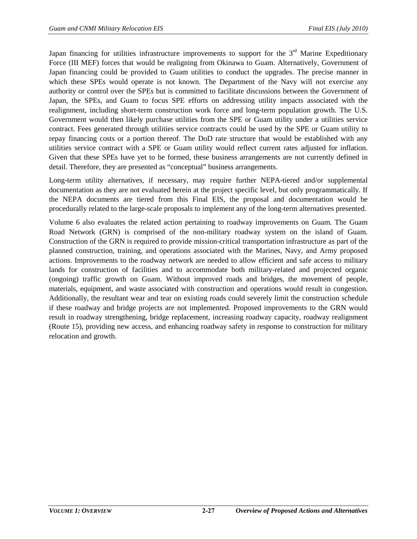Japan financing for utilities infrastructure improvements to support for the  $3<sup>rd</sup>$  Marine Expeditionary Force (III MEF) forces that would be realigning from Okinawa to Guam. Alternatively, Government of Japan financing could be provided to Guam utilities to conduct the upgrades. The precise manner in which these SPEs would operate is not known. The Department of the Navy will not exercise any authority or control over the SPEs but is committed to facilitate discussions between the Government of Japan, the SPEs, and Guam to focus SPE efforts on addressing utility impacts associated with the realignment, including short-term construction work force and long-term population growth. The U.S. Government would then likely purchase utilities from the SPE or Guam utility under a utilities service contract. Fees generated through utilities service contracts could be used by the SPE or Guam utility to repay financing costs or a portion thereof. The DoD rate structure that would be established with any utilities service contract with a SPE or Guam utility would reflect current rates adjusted for inflation. Given that these SPEs have yet to be formed, these business arrangements are not currently defined in detail. Therefore, they are presented as "conceptual" business arrangements.

Long-term utility alternatives, if necessary, may require further NEPA-tiered and/or supplemental documentation as they are not evaluated herein at the project specific level, but only programmatically. If the NEPA documents are tiered from this Final EIS, the proposal and documentation would be procedurally related to the large-scale proposals to implement any of the long-term alternatives presented.

Volume 6 also evaluates the related action pertaining to roadway improvements on Guam. The Guam Road Network (GRN) is comprised of the non-military roadway system on the island of Guam. Construction of the GRN is required to provide mission-critical transportation infrastructure as part of the planned construction, training, and operations associated with the Marines, Navy, and Army proposed actions. Improvements to the roadway network are needed to allow efficient and safe access to military lands for construction of facilities and to accommodate both military-related and projected organic (ongoing) traffic growth on Guam. Without improved roads and bridges, the movement of people, materials, equipment, and waste associated with construction and operations would result in congestion. Additionally, the resultant wear and tear on existing roads could severely limit the construction schedule if these roadway and bridge projects are not implemented. Proposed improvements to the GRN would result in roadway strengthening, bridge replacement, increasing roadway capacity, roadway realignment (Route 15), providing new access, and enhancing roadway safety in response to construction for military relocation and growth.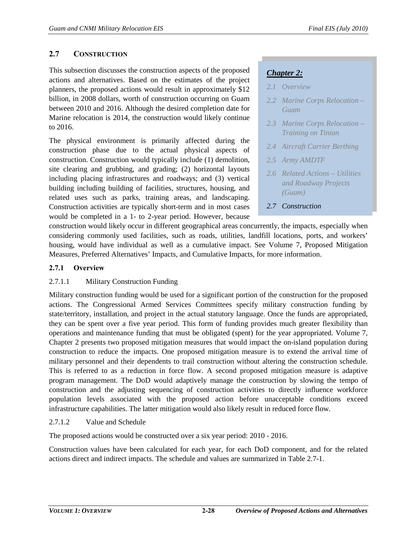# **2.7 CONSTRUCTION**

This subsection discusses the construction aspects of the proposed actions and alternatives. Based on the estimates of the project planners, the proposed actions would result in approximately \$12 billion, in 2008 dollars, worth of construction occurring on Guam between 2010 and 2016. Although the desired completion date for Marine relocation is 2014, the construction would likely continue to 2016.

The physical environment is primarily affected during the construction phase due to the actual physical aspects of construction. Construction would typically include (1) demolition, site clearing and grubbing, and grading; (2) horizontal layouts including placing infrastructures and roadways; and (3) vertical building including building of facilities, structures, housing, and related uses such as parks, training areas, and landscaping. Construction activities are typically short-term and in most cases would be completed in a 1- to 2-year period. However, because

# *Chapter 2:*

- *2.1 Overview*
- *2.2 Marine Corps Relocation Guam*
- *2.3 Marine Corps Relocation Training on Tinian*
- *2.4 Aircraft Carrier Berthing*
- *2.5 Army AMDTF*
- *2.6 Related Actions Utilities and Roadway Projects (Guam)*
- *2.7 Construction*

construction would likely occur in different geographical areas concurrently, the impacts, especially when considering commonly used facilities, such as roads, utilities, landfill locations, ports, and workers' housing, would have individual as well as a cumulative impact. See Volume 7, Proposed Mitigation Measures, Preferred Alternatives' Impacts, and Cumulative Impacts, for more information.

## **2.7.1 Overview**

## 2.7.1.1 Military Construction Funding

Military construction funding would be used for a significant portion of the construction for the proposed actions. The Congressional Armed Services Committees specify military construction funding by state/territory, installation, and project in the actual statutory language. Once the funds are appropriated, they can be spent over a five year period. This form of funding provides much greater flexibility than operations and maintenance funding that must be obligated (spent) for the year appropriated. Volume 7, Chapter 2 presents two proposed mitigation measures that would impact the on-island population during construction to reduce the impacts. One proposed mitigation measure is to extend the arrival time of military personnel and their dependents to trail construction without altering the construction schedule. This is referred to as a reduction in force flow. A second proposed mitigation measure is adaptive program management. The DoD would adaptively manage the construction by slowing the tempo of construction and the adjusting sequencing of construction activities to directly influence workforce population levels associated with the proposed action before unacceptable conditions exceed infrastructure capabilities. The latter mitigation would also likely result in reduced force flow.

## 2.7.1.2 Value and Schedule

The proposed actions would be constructed over a six year period: 2010 - 2016.

Construction values have been calculated for each year, for each DoD component, and for the related actions direct and indirect impacts. The schedule and values are summarized in Table 2.7-1.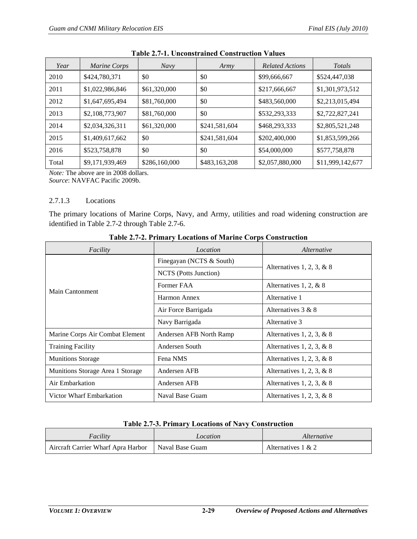| Year  | Marine Corps    | <b>Navy</b>   | Army          | <b>Related Actions</b> | Totals           |
|-------|-----------------|---------------|---------------|------------------------|------------------|
| 2010  | \$424,780,371   | \$0           | \$0           | \$99,666,667           | \$524,447,038    |
| 2011  | \$1,022,986,846 | \$61,320,000  | \$0           | \$217,666,667          | \$1,301,973,512  |
| 2012  | \$1,647,695,494 | \$81,760,000  | \$0           | \$483,560,000          | \$2,213,015,494  |
| 2013  | \$2,108,773,907 | \$81,760,000  | \$0           | \$532,293,333          | \$2,722,827,241  |
| 2014  | \$2,034,326,311 | \$61,320,000  | \$241,581,604 | \$468,293,333          | \$2,805,521,248  |
| 2015  | \$1,409,617,662 | \$0           | \$241,581,604 | \$202,400,000          | \$1,853,599,266  |
| 2016  | \$523,758,878   | \$0           | \$0           | \$54,000,000           | \$577,758,878    |
| Total | \$9,171,939,469 | \$286,160,000 | \$483,163,208 | \$2,057,880,000        | \$11,999,142,677 |

|  | <b>Table 2.7-1. Unconstrained Construction Values</b> |  |  |
|--|-------------------------------------------------------|--|--|
|--|-------------------------------------------------------|--|--|

*Note:* The above are in 2008 dollars. *Source*: NAVFAC Pacific 2009b.

#### 2.7.1.3 Locations

The primary locations of Marine Corps, Navy, and Army, utilities and road widening construction are identified in Table 2.7-2 through Table 2.7-6.

| Facility                         | Location                 | <i>Alternative</i>          |  |
|----------------------------------|--------------------------|-----------------------------|--|
|                                  | Finegayan (NCTS & South) | Alternatives 1, 2, 3, & 8   |  |
|                                  | NCTS (Potts Junction)    |                             |  |
| Main Cantonment                  | Former FAA               | Alternatives 1, 2, & 8      |  |
|                                  | Harmon Annex             | Alternative 1               |  |
|                                  | Air Force Barrigada      | Alternatives $3 & 8$        |  |
|                                  | Navy Barrigada           | Alternative 3               |  |
| Marine Corps Air Combat Element  | Andersen AFB North Ramp  | Alternatives 1, 2, 3, & 8   |  |
| <b>Training Facility</b>         | Andersen South           | Alternatives 1, 2, 3, $& 8$ |  |
| <b>Munitions Storage</b>         | Fena NMS                 | Alternatives 1, 2, 3, $& 8$ |  |
| Munitions Storage Area 1 Storage | Andersen AFB             | Alternatives 1, 2, 3, $& 8$ |  |
| Air Embarkation                  | Andersen AFB             | Alternatives 1, 2, 3, & 8   |  |
| Victor Wharf Embarkation         | Naval Base Guam          | Alternatives 1, 2, 3, $& 8$ |  |

**Table 2.7-2. Primary Locations of Marine Corps Construction**

## **Table 2.7-3. Primary Locations of Navy Construction**

| Facility                           | Location        | <i>Alternative</i>    |
|------------------------------------|-----------------|-----------------------|
| Aircraft Carrier Wharf Apra Harbor | Naval Base Guam | Alternatives $1 \& 2$ |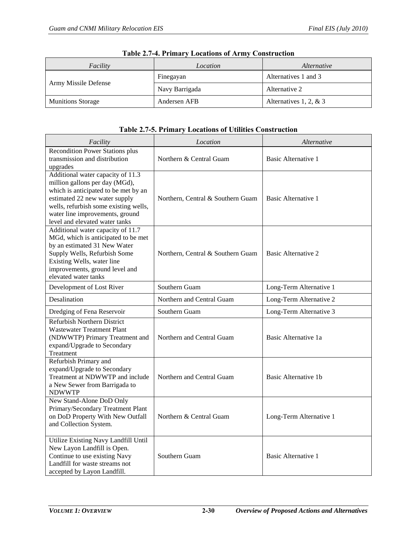| Facility                 | Location       | <i>Alternative</i>       |  |
|--------------------------|----------------|--------------------------|--|
|                          | Finegayan      | Alternatives 1 and 3     |  |
| Army Missile Defense     | Navy Barrigada | Alternative 2            |  |
| <b>Munitions Storage</b> | Andersen AFB   | Alternatives 1, 2, $& 3$ |  |

|  |  |  |  | <b>Table 2.7-4. Primary Locations of Army Construction</b> |
|--|--|--|--|------------------------------------------------------------|
|--|--|--|--|------------------------------------------------------------|

# **Table 2.7-5. Primary Locations of Utilities Construction**

| Facility                                                                                                                                                                                                                                                   | Location                          | <i>Alternative</i>         |  |
|------------------------------------------------------------------------------------------------------------------------------------------------------------------------------------------------------------------------------------------------------------|-----------------------------------|----------------------------|--|
| <b>Recondition Power Stations plus</b><br>transmission and distribution<br>upgrades                                                                                                                                                                        | Northern & Central Guam           | <b>Basic Alternative 1</b> |  |
| Additional water capacity of 11.3<br>million gallons per day (MGd),<br>which is anticipated to be met by an<br>estimated 22 new water supply<br>wells, refurbish some existing wells,<br>water line improvements, ground<br>level and elevated water tanks | Northern, Central & Southern Guam | Basic Alternative 1        |  |
| Additional water capacity of 11.7<br>MGd, which is anticipated to be met<br>by an estimated 31 New Water<br>Supply Wells, Refurbish Some<br>Existing Wells, water line<br>improvements, ground level and<br>elevated water tanks                           | Northern, Central & Southern Guam | Basic Alternative 2        |  |
| Development of Lost River                                                                                                                                                                                                                                  | Southern Guam                     | Long-Term Alternative 1    |  |
| Desalination                                                                                                                                                                                                                                               | Northern and Central Guam         | Long-Term Alternative 2    |  |
| Dredging of Fena Reservoir                                                                                                                                                                                                                                 | Southern Guam                     | Long-Term Alternative 3    |  |
| Refurbish Northern District<br><b>Wastewater Treatment Plant</b><br>(NDWWTP) Primary Treatment and<br>expand/Upgrade to Secondary<br>Treatment                                                                                                             | Northern and Central Guam         | Basic Alternative 1a       |  |
| Refurbish Primary and<br>expand/Upgrade to Secondary<br>Treatment at NDWWTP and include<br>a New Sewer from Barrigada to<br><b>NDWWTP</b>                                                                                                                  | Northern and Central Guam         | Basic Alternative 1b       |  |
| New Stand-Alone DoD Only<br>Primary/Secondary Treatment Plant<br>on DoD Property With New Outfall<br>and Collection System.                                                                                                                                | Northern & Central Guam           | Long-Term Alternative 1    |  |
| Utilize Existing Navy Landfill Until<br>New Layon Landfill is Open.<br>Continue to use existing Navy<br>Landfill for waste streams not<br>accepted by Layon Landfill.                                                                                      | Southern Guam                     | Basic Alternative 1        |  |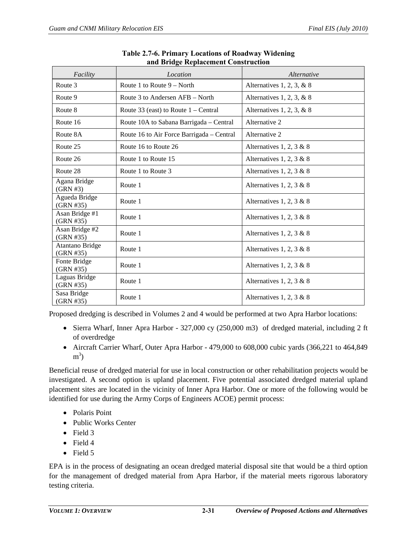| Facility                            | Location                                  | Alternative                 |  |
|-------------------------------------|-------------------------------------------|-----------------------------|--|
| Route 3                             | Route 1 to Route $9 - North$              | Alternatives 1, 2, 3, & 8   |  |
| Route 9                             | Route 3 to Andersen AFB – North           | Alternatives 1, 2, 3, $& 8$ |  |
| Route 8                             | Route 33 (east) to Route $1 -$ Central    | Alternatives 1, 2, 3, $& 8$ |  |
| Route 16                            | Route 10A to Sabana Barrigada - Central   | Alternative 2               |  |
| Route 8A                            | Route 16 to Air Force Barrigada – Central | Alternative 2               |  |
| Route 25                            | Route 16 to Route 26                      | Alternatives 1, 2, 3 & 8    |  |
| Route 26                            | Route 1 to Route 15                       | Alternatives 1, 2, 3 & 8    |  |
| Route 28                            | Route 1 to Route 3                        | Alternatives 1, 2, 3 & 8    |  |
| Agana Bridge<br>$(GRN \#3)$         | Route 1                                   | Alternatives 1, 2, 3 & 8    |  |
| Agueda Bridge<br>(GRN #35)          | Route 1                                   | Alternatives 1, 2, 3 & 8    |  |
| Asan Bridge #1<br>(GRN #35)         | Route 1                                   | Alternatives 1, 2, 3 & 8    |  |
| Asan Bridge #2<br>(GRN #35)         | Route 1                                   | Alternatives 1, 2, 3 & 8    |  |
| <b>Atantano Bridge</b><br>(GRN #35) | Route 1                                   | Alternatives 1, 2, 3 & 8    |  |
| Fonte Bridge<br>(GRN #35)           | Route 1                                   | Alternatives 1, 2, 3 & 8    |  |
| Laguas Bridge<br>(GRN #35)          | Route 1                                   | Alternatives 1, 2, 3 & 8    |  |
| Sasa Bridge<br>(GRN #35)            | Route 1                                   | Alternatives 1, 2, 3 & 8    |  |

| Table 2.7-6. Primary Locations of Roadway Widening |  |
|----------------------------------------------------|--|
| and Bridge Replacement Construction                |  |

Proposed dredging is described in Volumes 2 and 4 would be performed at two Apra Harbor locations:

- Sierra Wharf, Inner Apra Harbor 327,000 cy (250,000 m3) of dredged material, including 2 ft of overdredge
- Aircraft Carrier Wharf, Outer Apra Harbor 479,000 to 608,000 cubic yards (366,221 to 464,849)  $m<sup>3</sup>$ )

Beneficial reuse of dredged material for use in local construction or other rehabilitation projects would be investigated. A second option is upland placement. Five potential associated dredged material upland placement sites are located in the vicinity of Inner Apra Harbor. One or more of the following would be identified for use during the Army Corps of Engineers ACOE) permit process:

- Polaris Point
- Public Works Center
- Field 3
- Field 4
- Field 5

EPA is in the process of designating an ocean dredged material disposal site that would be a third option for the management of dredged material from Apra Harbor, if the material meets rigorous laboratory testing criteria.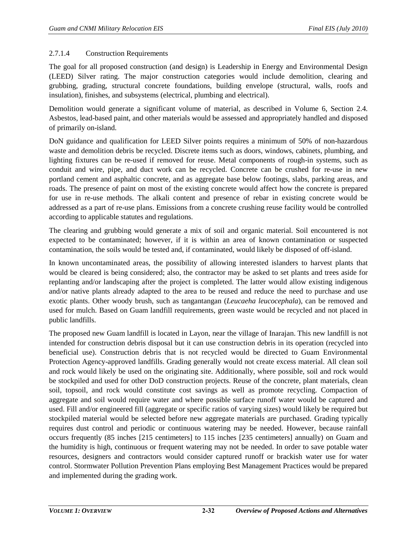#### 2.7.1.4 Construction Requirements

The goal for all proposed construction (and design) is Leadership in Energy and Environmental Design (LEED) Silver rating. The major construction categories would include demolition, clearing and grubbing, grading, structural concrete foundations, building envelope (structural, walls, roofs and insulation), finishes, and subsystems (electrical, plumbing and electrical).

Demolition would generate a significant volume of material, as described in Volume 6, Section 2.4. Asbestos, lead-based paint, and other materials would be assessed and appropriately handled and disposed of primarily on-island.

DoN guidance and qualification for LEED Silver points requires a minimum of 50% of non-hazardous waste and demolition debris be recycled. Discrete items such as doors, windows, cabinets, plumbing, and lighting fixtures can be re-used if removed for reuse. Metal components of rough-in systems, such as conduit and wire, pipe, and duct work can be recycled. Concrete can be crushed for re-use in new portland cement and asphaltic concrete, and as aggregate base below footings, slabs, parking areas, and roads. The presence of paint on most of the existing concrete would affect how the concrete is prepared for use in re-use methods. The alkali content and presence of rebar in existing concrete would be addressed as a part of re-use plans. Emissions from a concrete crushing reuse facility would be controlled according to applicable statutes and regulations.

The clearing and grubbing would generate a mix of soil and organic material. Soil encountered is not expected to be contaminated; however, if it is within an area of known contamination or suspected contamination, the soils would be tested and, if contaminated, would likely be disposed of off-island.

In known uncontaminated areas, the possibility of allowing interested islanders to harvest plants that would be cleared is being considered; also, the contractor may be asked to set plants and trees aside for replanting and/or landscaping after the project is completed. The latter would allow existing indigenous and/or native plants already adapted to the area to be reused and reduce the need to purchase and use exotic plants. Other woody brush, such as tangantangan (*Leucaeha leucocephala*), can be removed and used for mulch. Based on Guam landfill requirements, green waste would be recycled and not placed in public landfills.

The proposed new Guam landfill is located in Layon, near the village of Inarajan. This new landfill is not intended for construction debris disposal but it can use construction debris in its operation (recycled into beneficial use). Construction debris that is not recycled would be directed to Guam Environmental Protection Agency-approved landfills. Grading generally would not create excess material. All clean soil and rock would likely be used on the originating site. Additionally, where possible, soil and rock would be stockpiled and used for other DoD construction projects. Reuse of the concrete, plant materials, clean soil, topsoil, and rock would constitute cost savings as well as promote recycling. Compaction of aggregate and soil would require water and where possible surface runoff water would be captured and used. Fill and/or engineered fill (aggregate or specific ratios of varying sizes) would likely be required but stockpiled material would be selected before new aggregate materials are purchased. Grading typically requires dust control and periodic or continuous watering may be needed. However, because rainfall occurs frequently (85 inches [215 centimeters] to 115 inches [235 centimeters] annually) on Guam and the humidity is high, continuous or frequent watering may not be needed. In order to save potable water resources, designers and contractors would consider captured runoff or brackish water use for water control. Stormwater Pollution Prevention Plans employing Best Management Practices would be prepared and implemented during the grading work.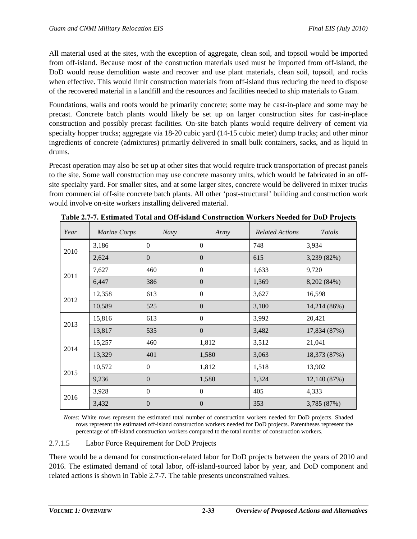All material used at the sites, with the exception of aggregate, clean soil, and topsoil would be imported from off-island. Because most of the construction materials used must be imported from off-island, the DoD would reuse demolition waste and recover and use plant materials, clean soil, topsoil, and rocks when effective. This would limit construction materials from off-island thus reducing the need to dispose of the recovered material in a landfill and the resources and facilities needed to ship materials to Guam.

Foundations, walls and roofs would be primarily concrete; some may be cast-in-place and some may be precast. Concrete batch plants would likely be set up on larger construction sites for cast-in-place construction and possibly precast facilities. On-site batch plants would require delivery of cement via specialty hopper trucks; aggregate via 18-20 cubic yard (14-15 cubic meter) dump trucks; and other minor ingredients of concrete (admixtures) primarily delivered in small bulk containers, sacks, and as liquid in drums.

Precast operation may also be set up at other sites that would require truck transportation of precast panels to the site. Some wall construction may use concrete masonry units, which would be fabricated in an offsite specialty yard. For smaller sites, and at some larger sites, concrete would be delivered in mixer trucks from commercial off-site concrete batch plants. All other 'post-structural' building and construction work would involve on-site workers installing delivered material.

| Year | <b>Marine Corps</b> | Navy             | Army           | <b>Related Actions</b> | Totals       |
|------|---------------------|------------------|----------------|------------------------|--------------|
| 2010 | 3,186               | $\mathbf{0}$     | $\Omega$       | 748                    | 3,934        |
|      | 2,624               | $\boldsymbol{0}$ | $\overline{0}$ | 615                    | 3,239 (82%)  |
| 2011 | 7,627               | 460              | $\Omega$       | 1,633                  | 9,720        |
|      | 6,447               | 386              | $\Omega$       | 1,369                  | 8,202 (84%)  |
| 2012 | 12,358              | 613              | $\theta$       | 3,627                  | 16,598       |
|      | 10,589              | 525              | $\theta$       | 3,100                  | 14,214 (86%) |
| 2013 | 15,816              | 613              | $\Omega$       | 3,992                  | 20,421       |
|      | 13,817              | 535              | $\Omega$       | 3,482                  | 17,834 (87%) |
| 2014 | 15,257              | 460              | 1,812          | 3,512                  | 21,041       |
|      | 13,329              | 401              | 1,580          | 3,063                  | 18,373 (87%) |
| 2015 | 10,572              | $\Omega$         | 1,812          | 1,518                  | 13,902       |
|      | 9,236               | $\Omega$         | 1,580          | 1,324                  | 12,140 (87%) |
| 2016 | 3,928               | $\mathbf{0}$     | $\theta$       | 405                    | 4,333        |
|      | 3,432               | $\overline{0}$   | $\overline{0}$ | 353                    | 3,785 (87%)  |

**Table 2.7-7. Estimated Total and Off-island Construction Workers Needed for DoD Projects**

*Notes*: White rows represent the estimated total number of construction workers needed for DoD projects. Shaded rows represent the estimated off-island construction workers needed for DoD projects. Parentheses represent the percentage of off-island construction workers compared to the total number of construction workers.

## 2.7.1.5 Labor Force Requirement for DoD Projects

There would be a demand for construction-related labor for DoD projects between the years of 2010 and 2016. The estimated demand of total labor, off-island-sourced labor by year, and DoD component and related actions is shown in Table 2.7-7. The table presents unconstrained values.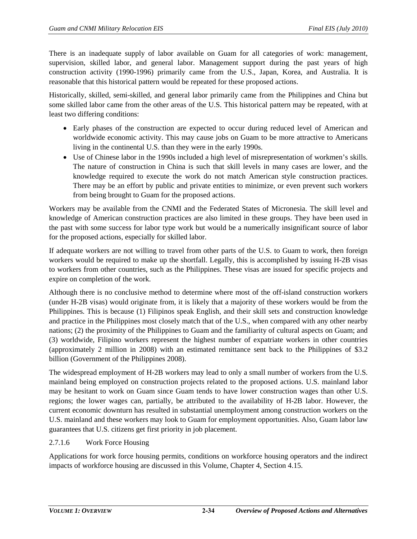There is an inadequate supply of labor available on Guam for all categories of work: management, supervision, skilled labor, and general labor. Management support during the past years of high construction activity (1990-1996) primarily came from the U.S., Japan, Korea, and Australia. It is reasonable that this historical pattern would be repeated for these proposed actions.

Historically, skilled, semi-skilled, and general labor primarily came from the Philippines and China but some skilled labor came from the other areas of the U.S. This historical pattern may be repeated, with at least two differing conditions:

- Early phases of the construction are expected to occur during reduced level of American and worldwide economic activity. This may cause jobs on Guam to be more attractive to Americans living in the continental U.S. than they were in the early 1990s.
- Use of Chinese labor in the 1990s included a high level of misrepresentation of workmen's skills. The nature of construction in China is such that skill levels in many cases are lower, and the knowledge required to execute the work do not match American style construction practices. There may be an effort by public and private entities to minimize, or even prevent such workers from being brought to Guam for the proposed actions.

Workers may be available from the CNMI and the Federated States of Micronesia. The skill level and knowledge of American construction practices are also limited in these groups. They have been used in the past with some success for labor type work but would be a numerically insignificant source of labor for the proposed actions, especially for skilled labor.

If adequate workers are not willing to travel from other parts of the U.S. to Guam to work, then foreign workers would be required to make up the shortfall. Legally, this is accomplished by issuing H-2B visas to workers from other countries, such as the Philippines. These visas are issued for specific projects and expire on completion of the work.

Although there is no conclusive method to determine where most of the off-island construction workers (under H-2B visas) would originate from, it is likely that a majority of these workers would be from the Philippines. This is because (1) Filipinos speak English, and their skill sets and construction knowledge and practice in the Philippines most closely match that of the U.S., when compared with any other nearby nations; (2) the proximity of the Philippines to Guam and the familiarity of cultural aspects on Guam; and (3) worldwide, Filipino workers represent the highest number of expatriate workers in other countries (approximately 2 million in 2008) with an estimated remittance sent back to the Philippines of \$3.2 billion (Government of the Philippines 2008).

The widespread employment of H-2B workers may lead to only a small number of workers from the U.S. mainland being employed on construction projects related to the proposed actions. U.S. mainland labor may be hesitant to work on Guam since Guam tends to have lower construction wages than other U.S. regions; the lower wages can, partially, be attributed to the availability of H-2B labor. However, the current economic downturn has resulted in substantial unemployment among construction workers on the U.S. mainland and these workers may look to Guam for employment opportunities. Also, Guam labor law guarantees that U.S. citizens get first priority in job placement.

# 2.7.1.6 Work Force Housing

Applications for work force housing permits, conditions on workforce housing operators and the indirect impacts of workforce housing are discussed in this Volume, Chapter 4, Section 4.15.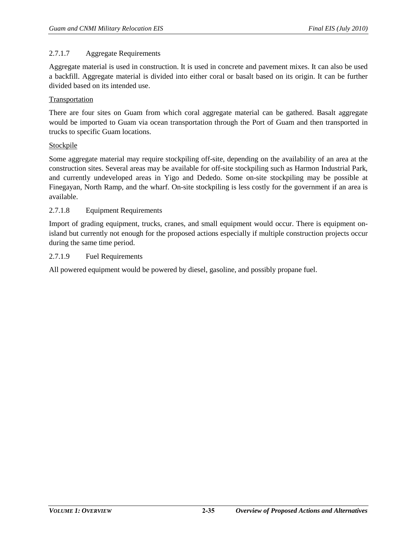#### 2.7.1.7 Aggregate Requirements

Aggregate material is used in construction. It is used in concrete and pavement mixes. It can also be used a backfill. Aggregate material is divided into either coral or basalt based on its origin. It can be further divided based on its intended use.

#### Transportation

There are four sites on Guam from which coral aggregate material can be gathered. Basalt aggregate would be imported to Guam via ocean transportation through the Port of Guam and then transported in trucks to specific Guam locations.

#### **Stockpile**

Some aggregate material may require stockpiling off-site, depending on the availability of an area at the construction sites. Several areas may be available for off-site stockpiling such as Harmon Industrial Park, and currently undeveloped areas in Yigo and Dededo. Some on-site stockpiling may be possible at Finegayan, North Ramp, and the wharf. On-site stockpiling is less costly for the government if an area is available.

#### 2.7.1.8 Equipment Requirements

Import of grading equipment, trucks, cranes, and small equipment would occur. There is equipment onisland but currently not enough for the proposed actions especially if multiple construction projects occur during the same time period.

#### 2.7.1.9 Fuel Requirements

All powered equipment would be powered by diesel, gasoline, and possibly propane fuel.